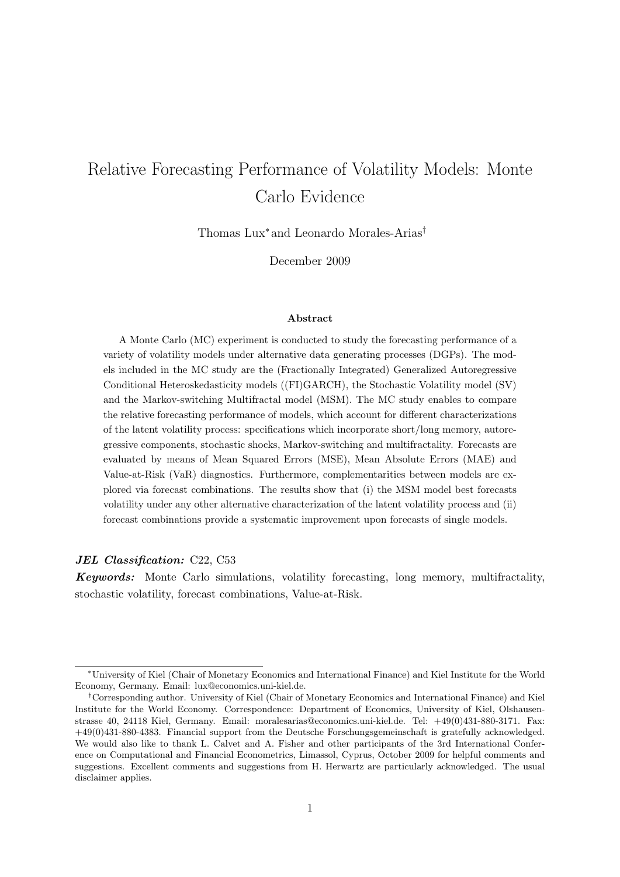# Relative Forecasting Performance of Volatility Models: Monte Carlo Evidence

Thomas Lux<sup>∗</sup> and Leonardo Morales-Arias†

December 2009

#### Abstract

A Monte Carlo (MC) experiment is conducted to study the forecasting performance of a variety of volatility models under alternative data generating processes (DGPs). The models included in the MC study are the (Fractionally Integrated) Generalized Autoregressive Conditional Heteroskedasticity models ((FI)GARCH), the Stochastic Volatility model (SV) and the Markov-switching Multifractal model (MSM). The MC study enables to compare the relative forecasting performance of models, which account for different characterizations of the latent volatility process: specifications which incorporate short/long memory, autoregressive components, stochastic shocks, Markov-switching and multifractality. Forecasts are evaluated by means of Mean Squared Errors (MSE), Mean Absolute Errors (MAE) and Value-at-Risk (VaR) diagnostics. Furthermore, complementarities between models are explored via forecast combinations. The results show that (i) the MSM model best forecasts volatility under any other alternative characterization of the latent volatility process and (ii) forecast combinations provide a systematic improvement upon forecasts of single models.

#### JEL Classification: C22, C53

Keywords: Monte Carlo simulations, volatility forecasting, long memory, multifractality, stochastic volatility, forecast combinations, Value-at-Risk.

<sup>∗</sup>University of Kiel (Chair of Monetary Economics and International Finance) and Kiel Institute for the World Economy, Germany. Email: lux@economics.uni-kiel.de.

<sup>†</sup>Corresponding author. University of Kiel (Chair of Monetary Economics and International Finance) and Kiel Institute for the World Economy. Correspondence: Department of Economics, University of Kiel, Olshausenstrasse 40, 24118 Kiel, Germany. Email: moralesarias@economics.uni-kiel.de. Tel: +49(0)431-880-3171. Fax: +49(0)431-880-4383. Financial support from the Deutsche Forschungsgemeinschaft is gratefully acknowledged. We would also like to thank L. Calvet and A. Fisher and other participants of the 3rd International Conference on Computational and Financial Econometrics, Limassol, Cyprus, October 2009 for helpful comments and suggestions. Excellent comments and suggestions from H. Herwartz are particularly acknowledged. The usual disclaimer applies.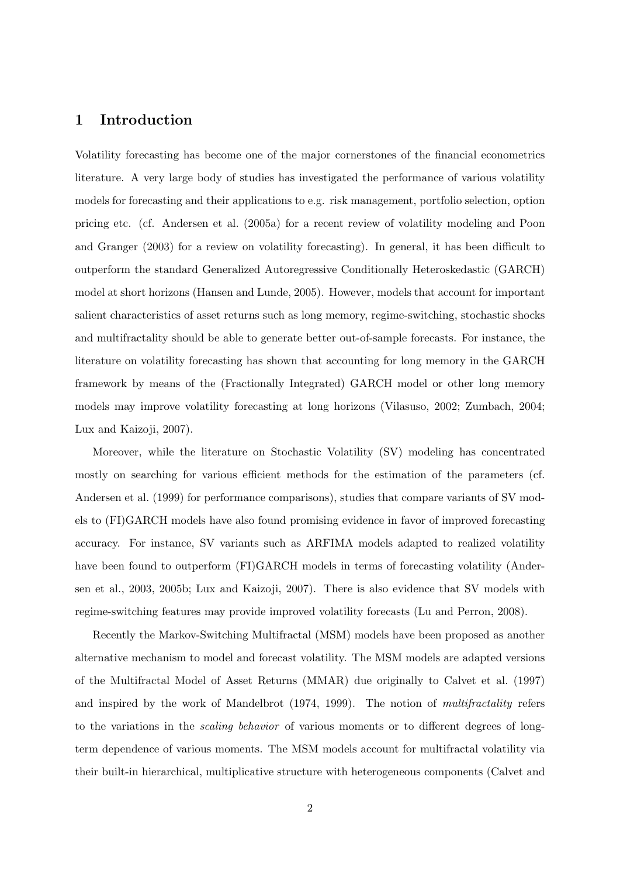# 1 Introduction

Volatility forecasting has become one of the major cornerstones of the financial econometrics literature. A very large body of studies has investigated the performance of various volatility models for forecasting and their applications to e.g. risk management, portfolio selection, option pricing etc. (cf. Andersen et al. (2005a) for a recent review of volatility modeling and Poon and Granger (2003) for a review on volatility forecasting). In general, it has been difficult to outperform the standard Generalized Autoregressive Conditionally Heteroskedastic (GARCH) model at short horizons (Hansen and Lunde, 2005). However, models that account for important salient characteristics of asset returns such as long memory, regime-switching, stochastic shocks and multifractality should be able to generate better out-of-sample forecasts. For instance, the literature on volatility forecasting has shown that accounting for long memory in the GARCH framework by means of the (Fractionally Integrated) GARCH model or other long memory models may improve volatility forecasting at long horizons (Vilasuso, 2002; Zumbach, 2004; Lux and Kaizoji, 2007).

Moreover, while the literature on Stochastic Volatility (SV) modeling has concentrated mostly on searching for various efficient methods for the estimation of the parameters (cf. Andersen et al. (1999) for performance comparisons), studies that compare variants of SV models to (FI)GARCH models have also found promising evidence in favor of improved forecasting accuracy. For instance, SV variants such as ARFIMA models adapted to realized volatility have been found to outperform (FI)GARCH models in terms of forecasting volatility (Andersen et al., 2003, 2005b; Lux and Kaizoji, 2007). There is also evidence that SV models with regime-switching features may provide improved volatility forecasts (Lu and Perron, 2008).

Recently the Markov-Switching Multifractal (MSM) models have been proposed as another alternative mechanism to model and forecast volatility. The MSM models are adapted versions of the Multifractal Model of Asset Returns (MMAR) due originally to Calvet et al. (1997) and inspired by the work of Mandelbrot (1974, 1999). The notion of multifractality refers to the variations in the scaling behavior of various moments or to different degrees of longterm dependence of various moments. The MSM models account for multifractal volatility via their built-in hierarchical, multiplicative structure with heterogeneous components (Calvet and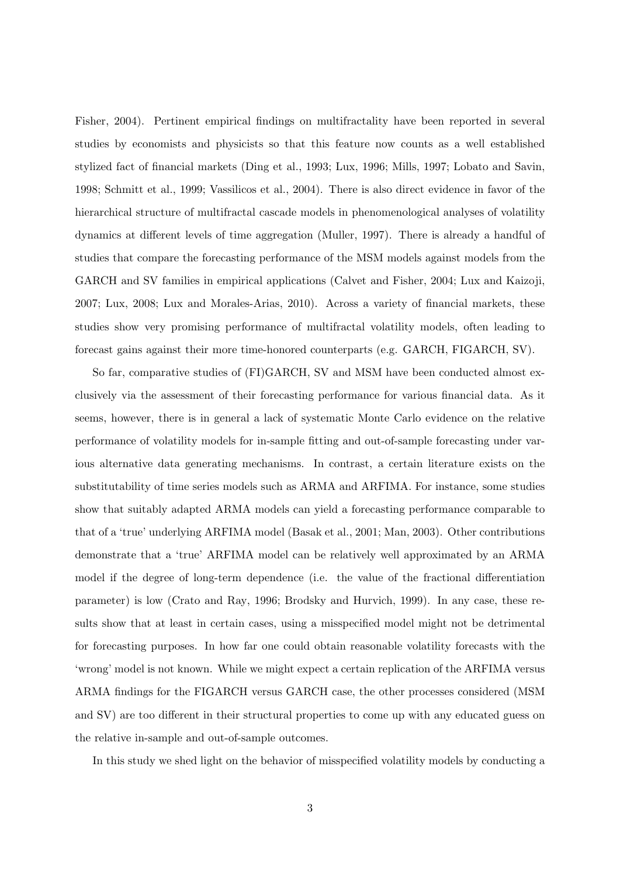Fisher, 2004). Pertinent empirical findings on multifractality have been reported in several studies by economists and physicists so that this feature now counts as a well established stylized fact of financial markets (Ding et al., 1993; Lux, 1996; Mills, 1997; Lobato and Savin, 1998; Schmitt et al., 1999; Vassilicos et al., 2004). There is also direct evidence in favor of the hierarchical structure of multifractal cascade models in phenomenological analyses of volatility dynamics at different levels of time aggregation (Muller, 1997). There is already a handful of studies that compare the forecasting performance of the MSM models against models from the GARCH and SV families in empirical applications (Calvet and Fisher, 2004; Lux and Kaizoji, 2007; Lux, 2008; Lux and Morales-Arias, 2010). Across a variety of financial markets, these studies show very promising performance of multifractal volatility models, often leading to forecast gains against their more time-honored counterparts (e.g. GARCH, FIGARCH, SV).

So far, comparative studies of (FI)GARCH, SV and MSM have been conducted almost exclusively via the assessment of their forecasting performance for various financial data. As it seems, however, there is in general a lack of systematic Monte Carlo evidence on the relative performance of volatility models for in-sample fitting and out-of-sample forecasting under various alternative data generating mechanisms. In contrast, a certain literature exists on the substitutability of time series models such as ARMA and ARFIMA. For instance, some studies show that suitably adapted ARMA models can yield a forecasting performance comparable to that of a 'true' underlying ARFIMA model (Basak et al., 2001; Man, 2003). Other contributions demonstrate that a 'true' ARFIMA model can be relatively well approximated by an ARMA model if the degree of long-term dependence (i.e. the value of the fractional differentiation parameter) is low (Crato and Ray, 1996; Brodsky and Hurvich, 1999). In any case, these results show that at least in certain cases, using a misspecified model might not be detrimental for forecasting purposes. In how far one could obtain reasonable volatility forecasts with the 'wrong' model is not known. While we might expect a certain replication of the ARFIMA versus ARMA findings for the FIGARCH versus GARCH case, the other processes considered (MSM and SV) are too different in their structural properties to come up with any educated guess on the relative in-sample and out-of-sample outcomes.

In this study we shed light on the behavior of misspecified volatility models by conducting a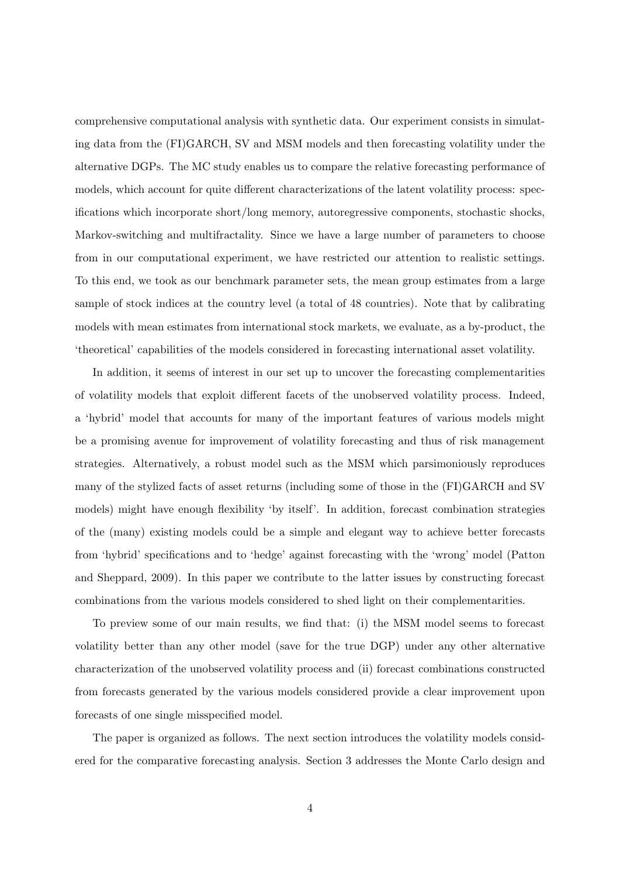comprehensive computational analysis with synthetic data. Our experiment consists in simulating data from the (FI)GARCH, SV and MSM models and then forecasting volatility under the alternative DGPs. The MC study enables us to compare the relative forecasting performance of models, which account for quite different characterizations of the latent volatility process: specifications which incorporate short/long memory, autoregressive components, stochastic shocks, Markov-switching and multifractality. Since we have a large number of parameters to choose from in our computational experiment, we have restricted our attention to realistic settings. To this end, we took as our benchmark parameter sets, the mean group estimates from a large sample of stock indices at the country level (a total of 48 countries). Note that by calibrating models with mean estimates from international stock markets, we evaluate, as a by-product, the 'theoretical' capabilities of the models considered in forecasting international asset volatility.

In addition, it seems of interest in our set up to uncover the forecasting complementarities of volatility models that exploit different facets of the unobserved volatility process. Indeed, a 'hybrid' model that accounts for many of the important features of various models might be a promising avenue for improvement of volatility forecasting and thus of risk management strategies. Alternatively, a robust model such as the MSM which parsimoniously reproduces many of the stylized facts of asset returns (including some of those in the (FI)GARCH and SV models) might have enough flexibility 'by itself'. In addition, forecast combination strategies of the (many) existing models could be a simple and elegant way to achieve better forecasts from 'hybrid' specifications and to 'hedge' against forecasting with the 'wrong' model (Patton and Sheppard, 2009). In this paper we contribute to the latter issues by constructing forecast combinations from the various models considered to shed light on their complementarities.

To preview some of our main results, we find that: (i) the MSM model seems to forecast volatility better than any other model (save for the true DGP) under any other alternative characterization of the unobserved volatility process and (ii) forecast combinations constructed from forecasts generated by the various models considered provide a clear improvement upon forecasts of one single misspecified model.

The paper is organized as follows. The next section introduces the volatility models considered for the comparative forecasting analysis. Section 3 addresses the Monte Carlo design and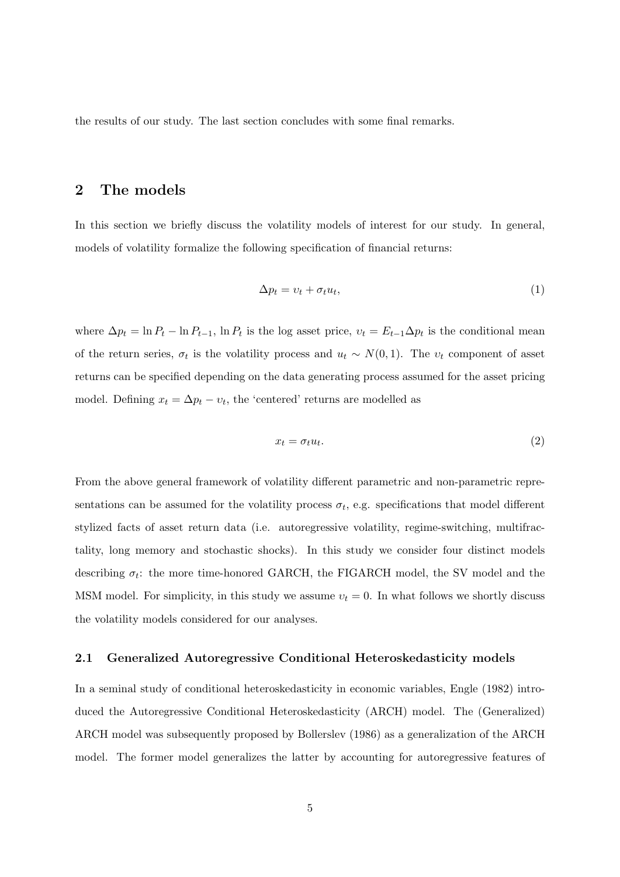the results of our study. The last section concludes with some final remarks.

# 2 The models

In this section we briefly discuss the volatility models of interest for our study. In general, models of volatility formalize the following specification of financial returns:

$$
\Delta p_t = v_t + \sigma_t u_t,\tag{1}
$$

where  $\Delta p_t = \ln P_t - \ln P_{t-1}$ ,  $\ln P_t$  is the log asset price,  $v_t = E_{t-1} \Delta p_t$  is the conditional mean of the return series,  $\sigma_t$  is the volatility process and  $u_t \sim N(0, 1)$ . The  $v_t$  component of asset returns can be specified depending on the data generating process assumed for the asset pricing model. Defining  $x_t = \Delta p_t - v_t$ , the 'centered' returns are modelled as

$$
x_t = \sigma_t u_t. \tag{2}
$$

From the above general framework of volatility different parametric and non-parametric representations can be assumed for the volatility process  $\sigma_t$ , e.g. specifications that model different stylized facts of asset return data (i.e. autoregressive volatility, regime-switching, multifractality, long memory and stochastic shocks). In this study we consider four distinct models describing  $\sigma_t$ : the more time-honored GARCH, the FIGARCH model, the SV model and the MSM model. For simplicity, in this study we assume  $v_t = 0$ . In what follows we shortly discuss the volatility models considered for our analyses.

## 2.1 Generalized Autoregressive Conditional Heteroskedasticity models

In a seminal study of conditional heteroskedasticity in economic variables, Engle (1982) introduced the Autoregressive Conditional Heteroskedasticity (ARCH) model. The (Generalized) ARCH model was subsequently proposed by Bollerslev (1986) as a generalization of the ARCH model. The former model generalizes the latter by accounting for autoregressive features of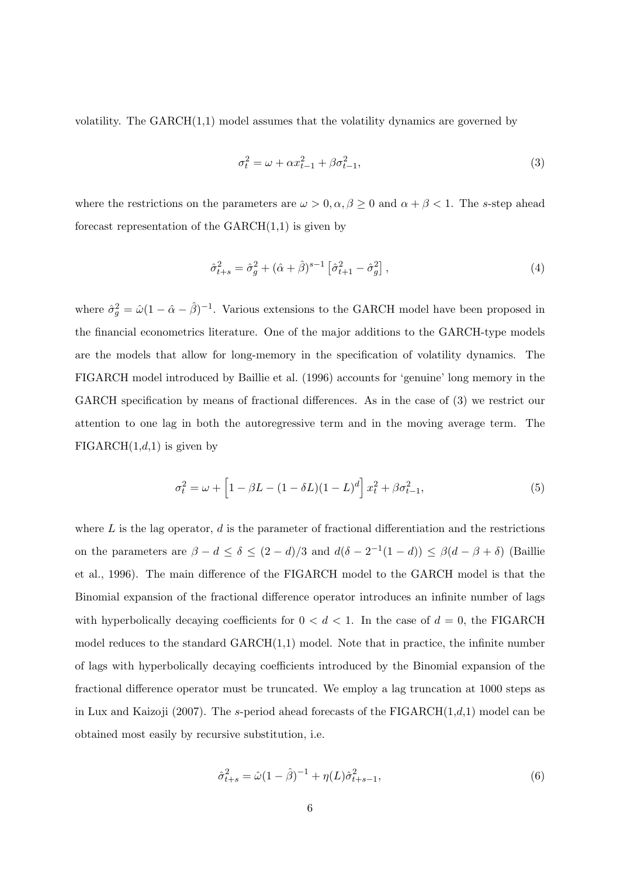volatility. The  $GARCH(1,1)$  model assumes that the volatility dynamics are governed by

$$
\sigma_t^2 = \omega + \alpha x_{t-1}^2 + \beta \sigma_{t-1}^2,\tag{3}
$$

where the restrictions on the parameters are  $\omega > 0, \alpha, \beta \ge 0$  and  $\alpha + \beta < 1$ . The s-step ahead forecast representation of the  $GARCH(1,1)$  is given by

$$
\hat{\sigma}_{t+s}^2 = \hat{\sigma}_g^2 + (\hat{\alpha} + \hat{\beta})^{s-1} \left[ \hat{\sigma}_{t+1}^2 - \hat{\sigma}_g^2 \right],\tag{4}
$$

where  $\hat{\sigma}_g^2 = \hat{\omega} (1 - \hat{\alpha} - \hat{\beta})^{-1}$ . Various extensions to the GARCH model have been proposed in the financial econometrics literature. One of the major additions to the GARCH-type models are the models that allow for long-memory in the specification of volatility dynamics. The FIGARCH model introduced by Baillie et al. (1996) accounts for 'genuine' long memory in the GARCH specification by means of fractional differences. As in the case of  $(3)$  we restrict our attention to one lag in both the autoregressive term and in the moving average term. The  $FIGARCH(1,d,1)$  is given by

$$
\sigma_t^2 = \omega + \left[1 - \beta L - (1 - \delta L)(1 - L)^d\right] x_t^2 + \beta \sigma_{t-1}^2,
$$
\n(5)

where  $L$  is the lag operator,  $d$  is the parameter of fractional differentiation and the restrictions on the parameters are  $\beta - d \leq \delta \leq (2 - d)/3$  and  $d(\delta - 2^{-1}(1 - d)) \leq \beta(d - \beta + \delta)$  (Baillie et al., 1996). The main difference of the FIGARCH model to the GARCH model is that the Binomial expansion of the fractional difference operator introduces an infinite number of lags with hyperbolically decaying coefficients for  $0 < d < 1$ . In the case of  $d = 0$ , the FIGARCH model reduces to the standard GARCH(1,1) model. Note that in practice, the infinite number of lags with hyperbolically decaying coefficients introduced by the Binomial expansion of the fractional difference operator must be truncated. We employ a lag truncation at 1000 steps as in Lux and Kaizoji (2007). The s-period ahead forecasts of the  $FIGARCH(1,d,1)$  model can be obtained most easily by recursive substitution, i.e.

$$
\hat{\sigma}_{t+s}^2 = \hat{\omega}(1-\hat{\beta})^{-1} + \eta(L)\hat{\sigma}_{t+s-1}^2,
$$
\n(6)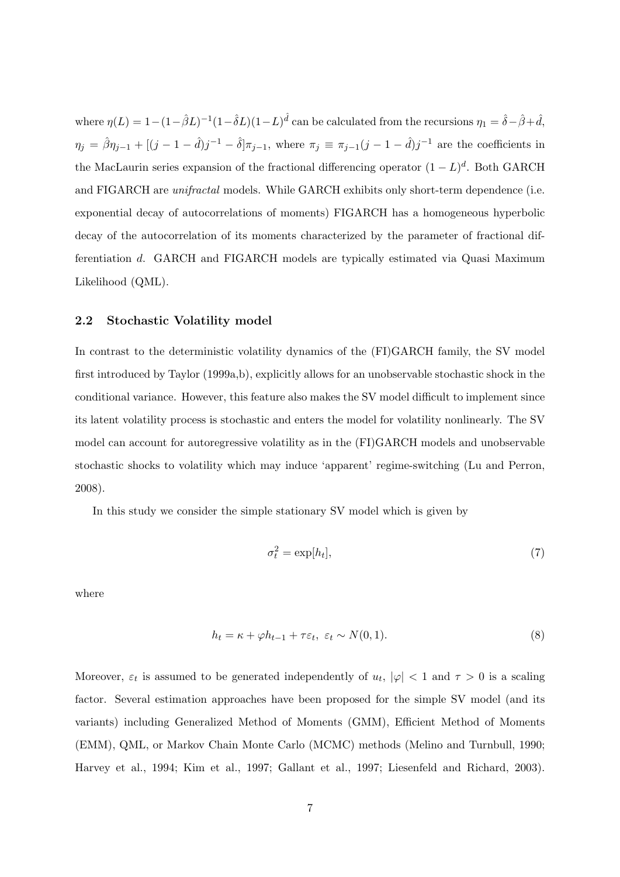where  $\eta(L) = 1 - (1 - \hat{\beta}L)^{-1}(1 - \hat{\delta}L)(1 - L)^{\hat{d}}$  can be calculated from the recursions  $\eta_1 = \hat{\delta} - \hat{\beta} + \hat{d}$ ,  $\eta_j = \hat{\beta}\eta_{j-1} + \left[(j-1-\hat{d})j^{-1} - \hat{\delta}\right]\pi_{j-1}$ , where  $\pi_j \equiv \pi_{j-1}(j-1-\hat{d})j^{-1}$  are the coefficients in the MacLaurin series expansion of the fractional differencing operator  $(1 - L)^d$ . Both GARCH and FIGARCH are unifractal models. While GARCH exhibits only short-term dependence (i.e. exponential decay of autocorrelations of moments) FIGARCH has a homogeneous hyperbolic decay of the autocorrelation of its moments characterized by the parameter of fractional differentiation d. GARCH and FIGARCH models are typically estimated via Quasi Maximum Likelihood (QML).

## 2.2 Stochastic Volatility model

In contrast to the deterministic volatility dynamics of the (FI)GARCH family, the SV model first introduced by Taylor (1999a,b), explicitly allows for an unobservable stochastic shock in the conditional variance. However, this feature also makes the SV model difficult to implement since its latent volatility process is stochastic and enters the model for volatility nonlinearly. The SV model can account for autoregressive volatility as in the (FI)GARCH models and unobservable stochastic shocks to volatility which may induce 'apparent' regime-switching (Lu and Perron, 2008).

In this study we consider the simple stationary SV model which is given by

$$
\sigma_t^2 = \exp[h_t],\tag{7}
$$

where

$$
h_t = \kappa + \varphi h_{t-1} + \tau \varepsilon_t, \ \varepsilon_t \sim N(0, 1). \tag{8}
$$

Moreover,  $\varepsilon_t$  is assumed to be generated independently of  $u_t$ ,  $|\varphi|$  < 1 and  $\tau > 0$  is a scaling factor. Several estimation approaches have been proposed for the simple SV model (and its variants) including Generalized Method of Moments (GMM), Efficient Method of Moments (EMM), QML, or Markov Chain Monte Carlo (MCMC) methods (Melino and Turnbull, 1990; Harvey et al., 1994; Kim et al., 1997; Gallant et al., 1997; Liesenfeld and Richard, 2003).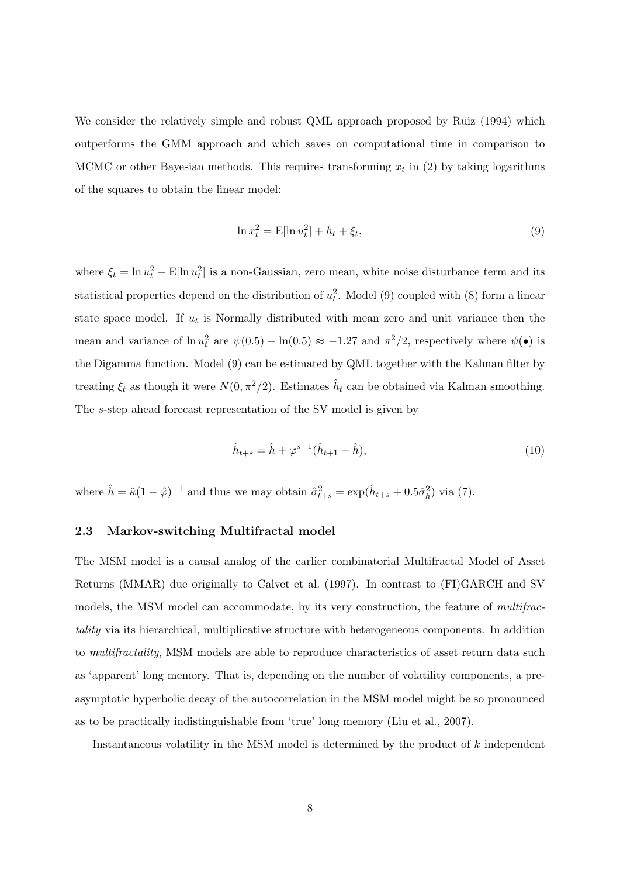We consider the relatively simple and robust QML approach proposed by Ruiz (1994) which outperforms the GMM approach and which saves on computational time in comparison to MCMC or other Bayesian methods. This requires transforming  $x_t$  in (2) by taking logarithms of the squares to obtain the linear model:

$$
\ln x_t^2 = E[\ln u_t^2] + h_t + \xi_t,
$$
\n(9)

where  $\xi_t = \ln u_t^2 - \text{E}[\ln u_t^2]$  is a non-Gaussian, zero mean, white noise disturbance term and its statistical properties depend on the distribution of  $u_t^2$ . Model (9) coupled with (8) form a linear state space model. If  $u_t$  is Normally distributed with mean zero and unit variance then the mean and variance of  $\ln u_t^2$  are  $\psi(0.5) - \ln(0.5) \approx -1.27$  and  $\pi^2/2$ , respectively where  $\psi(\bullet)$  is the Digamma function. Model (9) can be estimated by QML together with the Kalman filter by treating  $\xi_t$  as though it were  $N(0, \pi^2/2)$ . Estimates  $\hat{h}_t$  can be obtained via Kalman smoothing. The s-step ahead forecast representation of the SV model is given by

$$
\hat{h}_{t+s} = \hat{h} + \varphi^{s-1} (\hat{h}_{t+1} - \hat{h}),\tag{10}
$$

where  $\hat{h} = \hat{\kappa} (1 - \hat{\varphi})^{-1}$  and thus we may obtain  $\hat{\sigma}_{t+s}^2 = \exp(\hat{h}_{t+s} + 0.5\hat{\sigma}_h^2)$  via (7).

# 2.3 Markov-switching Multifractal model

The MSM model is a causal analog of the earlier combinatorial Multifractal Model of Asset Returns (MMAR) due originally to Calvet et al. (1997). In contrast to (FI)GARCH and SV models, the MSM model can accommodate, by its very construction, the feature of *multifrac*tality via its hierarchical, multiplicative structure with heterogeneous components. In addition to multifractality, MSM models are able to reproduce characteristics of asset return data such as 'apparent' long memory. That is, depending on the number of volatility components, a preasymptotic hyperbolic decay of the autocorrelation in the MSM model might be so pronounced as to be practically indistinguishable from 'true' long memory (Liu et al., 2007).

Instantaneous volatility in the MSM model is determined by the product of k independent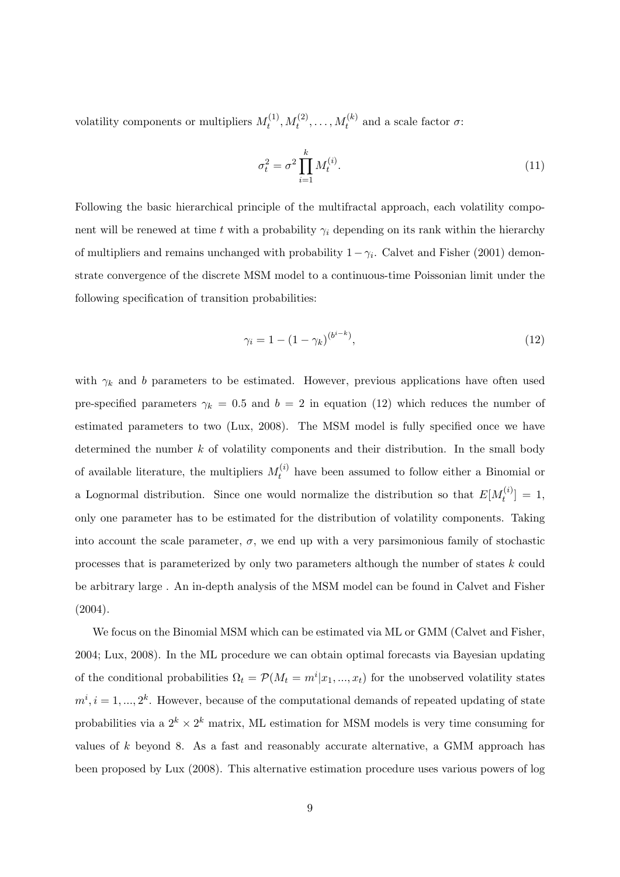volatility components or multipliers  $M_t^{(1)}$  $t_t^{(1)}, M_t^{(2)}, \ldots, M_t^{(k)}$  and a scale factor  $\sigma$ :

$$
\sigma_t^2 = \sigma^2 \prod_{i=1}^k M_t^{(i)}.
$$
\n(11)

Following the basic hierarchical principle of the multifractal approach, each volatility component will be renewed at time t with a probability  $\gamma_i$  depending on its rank within the hierarchy of multipliers and remains unchanged with probability  $1 - \gamma_i$ . Calvet and Fisher (2001) demonstrate convergence of the discrete MSM model to a continuous-time Poissonian limit under the following specification of transition probabilities:

$$
\gamma_i = 1 - (1 - \gamma_k)^{(b^{i-k})},\tag{12}
$$

with  $\gamma_k$  and b parameters to be estimated. However, previous applications have often used pre-specified parameters  $\gamma_k = 0.5$  and  $b = 2$  in equation (12) which reduces the number of estimated parameters to two (Lux, 2008). The MSM model is fully specified once we have determined the number  $k$  of volatility components and their distribution. In the small body of available literature, the multipliers  $M_t^{(i)}$  have been assumed to follow either a Binomial or a Lognormal distribution. Since one would normalize the distribution so that  $E[M_t^{(i)}]$  $[t^{(i)}] = 1,$ only one parameter has to be estimated for the distribution of volatility components. Taking into account the scale parameter,  $\sigma$ , we end up with a very parsimonious family of stochastic processes that is parameterized by only two parameters although the number of states k could be arbitrary large . An in-depth analysis of the MSM model can be found in Calvet and Fisher (2004).

We focus on the Binomial MSM which can be estimated via ML or GMM (Calvet and Fisher, 2004; Lux, 2008). In the ML procedure we can obtain optimal forecasts via Bayesian updating of the conditional probabilities  $\Omega_t = \mathcal{P}(M_t = m^i | x_1, ..., x_t)$  for the unobserved volatility states  $m^i, i = 1, ..., 2^k$ . However, because of the computational demands of repeated updating of state probabilities via a  $2^k \times 2^k$  matrix, ML estimation for MSM models is very time consuming for values of k beyond 8. As a fast and reasonably accurate alternative, a GMM approach has been proposed by Lux (2008). This alternative estimation procedure uses various powers of log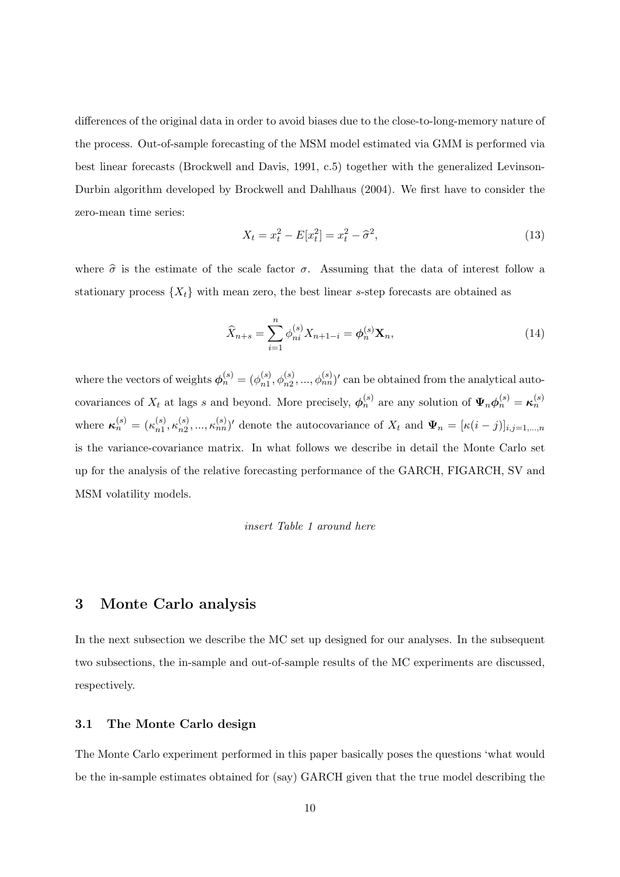differences of the original data in order to avoid biases due to the close-to-long-memory nature of the process. Out-of-sample forecasting of the MSM model estimated via GMM is performed via best linear forecasts (Brockwell and Davis, 1991, c.5) together with the generalized Levinson-Durbin algorithm developed by Brockwell and Dahlhaus (2004). We first have to consider the zero-mean time series:

$$
X_t = x_t^2 - E[x_t^2] = x_t^2 - \hat{\sigma}^2,
$$
\n(13)

where  $\hat{\sigma}$  is the estimate of the scale factor  $\sigma$ . Assuming that the data of interest follow a stationary process  $\{X_t\}$  with mean zero, the best linear s-step forecasts are obtained as

$$
\widehat{X}_{n+s} = \sum_{i=1}^{n} \phi_{ni}^{(s)} X_{n+1-i} = \phi_n^{(s)} \mathbf{X}_n,
$$
\n(14)

where the vectors of weights  $\phi_n^{(s)} = (\phi_{n1}^{(s)})$  ${}_{n1}^{(s)}, \phi_{n2}^{(s)}, ..., \phi_{nn}^{(s)}$ ' can be obtained from the analytical autocovariances of  $X_t$  at lags s and beyond. More precisely,  $\phi_n^{(s)}$  are any solution of  $\Psi_n \phi_n^{(s)} = \kappa_n^{(s)}$ where  $\kappa_n^{(s)} = (\kappa_{n1}^{(s)})$  $_{n1}^{(s)}, \kappa_{n2}^{(s)}$  $\mathbf{z}_{n_2}^{(s)},...,\mathbf{z}_{nn}^{(s)}$ ' denote the autocovariance of  $X_t$  and  $\Psi_n = [\kappa(i-j)]_{i,j=1,...,n}$ is the variance-covariance matrix. In what follows we describe in detail the Monte Carlo set up for the analysis of the relative forecasting performance of the GARCH, FIGARCH, SV and MSM volatility models.

#### insert Table 1 around here

# 3 Monte Carlo analysis

In the next subsection we describe the MC set up designed for our analyses. In the subsequent two subsections, the in-sample and out-of-sample results of the MC experiments are discussed, respectively.

# 3.1 The Monte Carlo design

The Monte Carlo experiment performed in this paper basically poses the questions 'what would be the in-sample estimates obtained for (say) GARCH given that the true model describing the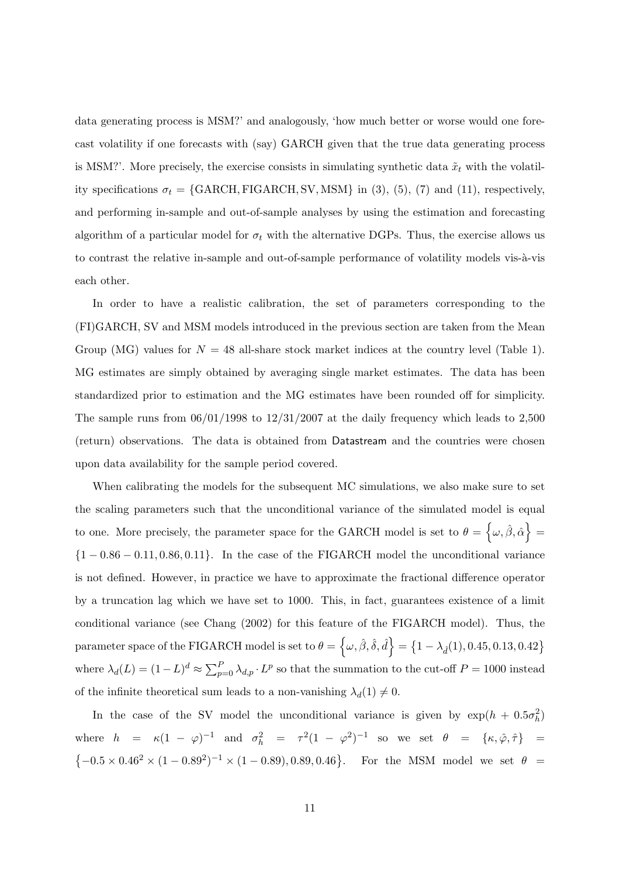data generating process is MSM?' and analogously, 'how much better or worse would one forecast volatility if one forecasts with (say) GARCH given that the true data generating process is MSM?'. More precisely, the exercise consists in simulating synthetic data  $\tilde{x}_t$  with the volatility specifications  $\sigma_t = \{GARCH, FIGARCH, SV, MSM\}$  in (3), (5), (7) and (11), respectively, and performing in-sample and out-of-sample analyses by using the estimation and forecasting algorithm of a particular model for  $\sigma_t$  with the alternative DGPs. Thus, the exercise allows us to contrast the relative in-sample and out-of-sample performance of volatility models vis-à-vis each other.

In order to have a realistic calibration, the set of parameters corresponding to the (FI)GARCH, SV and MSM models introduced in the previous section are taken from the Mean Group (MG) values for  $N = 48$  all-share stock market indices at the country level (Table 1). MG estimates are simply obtained by averaging single market estimates. The data has been standardized prior to estimation and the MG estimates have been rounded off for simplicity. The sample runs from  $06/01/1998$  to  $12/31/2007$  at the daily frequency which leads to 2,500 (return) observations. The data is obtained from Datastream and the countries were chosen upon data availability for the sample period covered.

When calibrating the models for the subsequent MC simulations, we also make sure to set the scaling parameters such that the unconditional variance of the simulated model is equal to one. More precisely, the parameter space for the GARCH model is set to  $\theta = \{\omega, \hat{\beta}, \hat{\alpha}\} =$  ${1 - 0.86 - 0.11, 0.86, 0.11}$ . In the case of the FIGARCH model the unconditional variance is not defined. However, in practice we have to approximate the fractional difference operator by a truncation lag which we have set to 1000. This, in fact, guarantees existence of a limit conditional variance (see Chang (2002) for this feature of the FIGARCH model). Thus, the parameter space of the FIGARCH model is set to  $\theta = \left\{\omega, \hat{\beta}, \hat{\delta}, \hat{d}\right\} = \left\{1 - \lambda_{\hat{d}}(1), 0.45, 0.13, 0.42\right\}$ where  $\lambda_d(L) = (1-L)^d \approx \sum_{p=0}^{P} \lambda_{d,p} \cdot L^p$  so that the summation to the cut-off  $P = 1000$  instead of the infinite theoretical sum leads to a non-vanishing  $\lambda_d(1) \neq 0$ .

In the case of the SV model the unconditional variance is given by  $\exp(h + 0.5\sigma_h^2)$ where  $h = \kappa (1 - \varphi)^{-1}$  and  $\sigma_h^2 = \tau^2 (1 - \varphi^2)^{-1}$  so we set  $\theta = {\kappa, \hat{\varphi}, \hat{\tau}}$  =  $\{-0.5 \times 0.46^2 \times (1 - 0.89^2)^{-1} \times (1 - 0.89), 0.89, 0.46\}.$  For the MSM model we set  $\theta$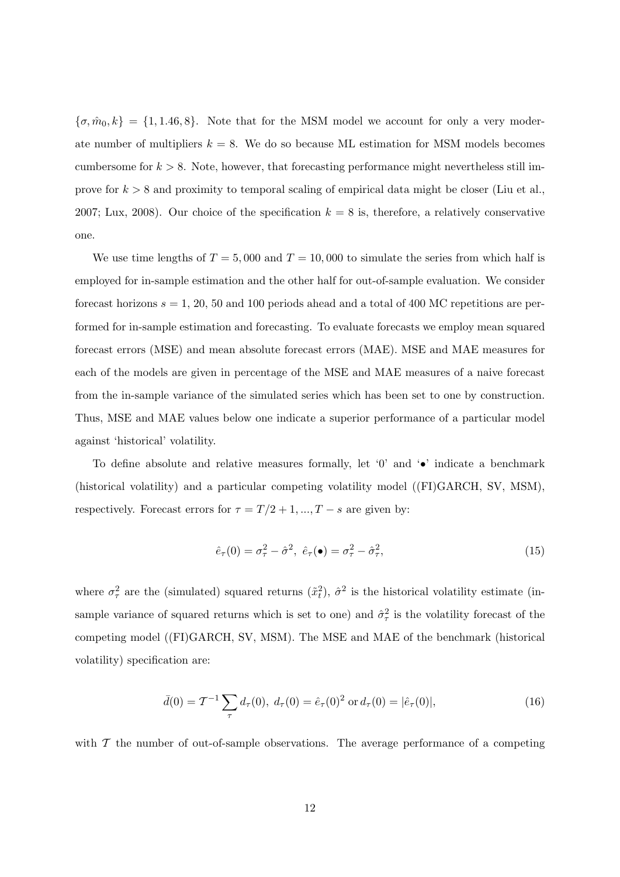${\lbrace \sigma, \hat{m}_0, k \rbrace} = {\lbrace 1, 1.46, 8 \rbrace}$ . Note that for the MSM model we account for only a very moderate number of multipliers  $k = 8$ . We do so because ML estimation for MSM models becomes cumbersome for  $k > 8$ . Note, however, that forecasting performance might nevertheless still improve for  $k > 8$  and proximity to temporal scaling of empirical data might be closer (Liu et al., 2007; Lux, 2008). Our choice of the specification  $k = 8$  is, therefore, a relatively conservative one.

We use time lengths of  $T = 5,000$  and  $T = 10,000$  to simulate the series from which half is employed for in-sample estimation and the other half for out-of-sample evaluation. We consider forecast horizons  $s = 1, 20, 50$  and 100 periods ahead and a total of 400 MC repetitions are performed for in-sample estimation and forecasting. To evaluate forecasts we employ mean squared forecast errors (MSE) and mean absolute forecast errors (MAE). MSE and MAE measures for each of the models are given in percentage of the MSE and MAE measures of a naive forecast from the in-sample variance of the simulated series which has been set to one by construction. Thus, MSE and MAE values below one indicate a superior performance of a particular model against 'historical' volatility.

To define absolute and relative measures formally, let '0' and ' $\bullet$ ' indicate a benchmark (historical volatility) and a particular competing volatility model ((FI)GARCH, SV, MSM), respectively. Forecast errors for  $\tau = T/2 + 1, ..., T - s$  are given by:

$$
\hat{e}_{\tau}(0) = \sigma_{\tau}^2 - \hat{\sigma}^2, \ \hat{e}_{\tau}(\bullet) = \sigma_{\tau}^2 - \hat{\sigma}_{\tau}^2,\tag{15}
$$

where  $\sigma_{\tau}^2$  are the (simulated) squared returns  $(\tilde{x}_t^2)$ ,  $\hat{\sigma}^2$  is the historical volatility estimate (insample variance of squared returns which is set to one) and  $\hat{\sigma}_{\tau}^2$  is the volatility forecast of the competing model ((FI)GARCH, SV, MSM). The MSE and MAE of the benchmark (historical volatility) specification are:

$$
\bar{d}(0) = \mathcal{T}^{-1} \sum_{\tau} d_{\tau}(0), \ d_{\tau}(0) = \hat{e}_{\tau}(0)^2 \text{ or } d_{\tau}(0) = |\hat{e}_{\tau}(0)|,
$$
\n(16)

with  $T$  the number of out-of-sample observations. The average performance of a competing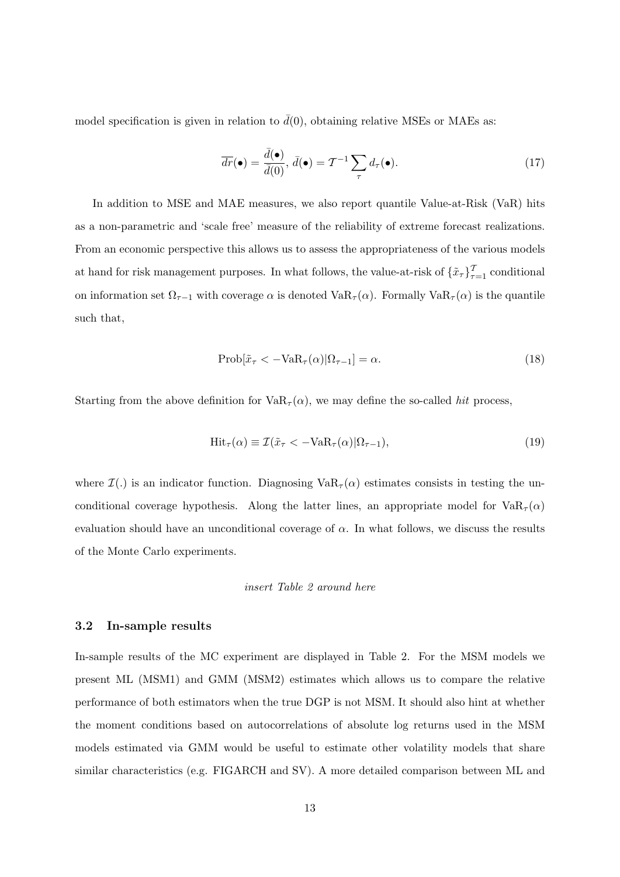model specification is given in relation to  $\bar{d}(0)$ , obtaining relative MSEs or MAEs as:

$$
\overline{dr}(\bullet) = \frac{\overline{d}(\bullet)}{\overline{d}(0)}, \ \overline{d}(\bullet) = \mathcal{T}^{-1} \sum_{\tau} d_{\tau}(\bullet). \tag{17}
$$

In addition to MSE and MAE measures, we also report quantile Value-at-Risk (VaR) hits as a non-parametric and 'scale free' measure of the reliability of extreme forecast realizations. From an economic perspective this allows us to assess the appropriateness of the various models at hand for risk management purposes. In what follows, the value-at-risk of  $\{\tilde{x}_{\tau}\}_{\tau=1}^{T}$  conditional on information set  $\Omega_{\tau-1}$  with coverage  $\alpha$  is denoted Va $R_{\tau}(\alpha)$ . Formally Va $R_{\tau}(\alpha)$  is the quantile such that,

$$
\text{Prob}[\tilde{x}_{\tau} < -\text{VaR}_{\tau}(\alpha)|\Omega_{\tau-1}] = \alpha. \tag{18}
$$

Starting from the above definition for  $VaR_{\tau}(\alpha)$ , we may define the so-called hit process,

$$
\text{Hit}_{\tau}(\alpha) \equiv \mathcal{I}(\tilde{x}_{\tau} < -\text{VaR}_{\tau}(\alpha)|\Omega_{\tau-1}),\tag{19}
$$

where  $\mathcal{I}(\cdot)$  is an indicator function. Diagnosing  $VaR_{\tau}(\alpha)$  estimates consists in testing the unconditional coverage hypothesis. Along the latter lines, an appropriate model for  $VaR<sub>\tau</sub>(\alpha)$ evaluation should have an unconditional coverage of  $\alpha$ . In what follows, we discuss the results of the Monte Carlo experiments.

# insert Table 2 around here

## 3.2 In-sample results

In-sample results of the MC experiment are displayed in Table 2. For the MSM models we present ML (MSM1) and GMM (MSM2) estimates which allows us to compare the relative performance of both estimators when the true DGP is not MSM. It should also hint at whether the moment conditions based on autocorrelations of absolute log returns used in the MSM models estimated via GMM would be useful to estimate other volatility models that share similar characteristics (e.g. FIGARCH and SV). A more detailed comparison between ML and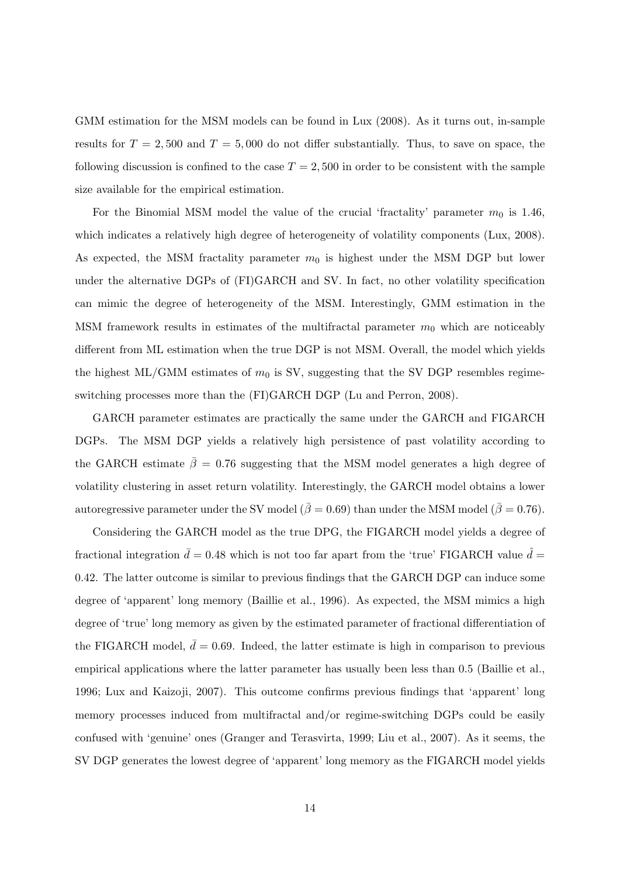GMM estimation for the MSM models can be found in Lux (2008). As it turns out, in-sample results for  $T = 2,500$  and  $T = 5,000$  do not differ substantially. Thus, to save on space, the following discussion is confined to the case  $T = 2,500$  in order to be consistent with the sample size available for the empirical estimation.

For the Binomial MSM model the value of the crucial 'fractality' parameter  $m_0$  is 1.46, which indicates a relatively high degree of heterogeneity of volatility components (Lux, 2008). As expected, the MSM fractality parameter  $m_0$  is highest under the MSM DGP but lower under the alternative DGPs of (FI)GARCH and SV. In fact, no other volatility specification can mimic the degree of heterogeneity of the MSM. Interestingly, GMM estimation in the MSM framework results in estimates of the multifractal parameter  $m_0$  which are noticeably different from ML estimation when the true DGP is not MSM. Overall, the model which yields the highest ML/GMM estimates of  $m_0$  is SV, suggesting that the SV DGP resembles regimeswitching processes more than the (FI)GARCH DGP (Lu and Perron, 2008).

GARCH parameter estimates are practically the same under the GARCH and FIGARCH DGPs. The MSM DGP yields a relatively high persistence of past volatility according to the GARCH estimate  $\bar{\beta} = 0.76$  suggesting that the MSM model generates a high degree of volatility clustering in asset return volatility. Interestingly, the GARCH model obtains a lower autoregressive parameter under the SV model ( $\bar{\beta} = 0.69$ ) than under the MSM model ( $\bar{\beta} = 0.76$ ).

Considering the GARCH model as the true DPG, the FIGARCH model yields a degree of fractional integration  $\bar{d} = 0.48$  which is not too far apart from the 'true' FIGARCH value  $\hat{d} =$ 0.42. The latter outcome is similar to previous findings that the GARCH DGP can induce some degree of 'apparent' long memory (Baillie et al., 1996). As expected, the MSM mimics a high degree of 'true' long memory as given by the estimated parameter of fractional differentiation of the FIGARCH model,  $\bar{d} = 0.69$ . Indeed, the latter estimate is high in comparison to previous empirical applications where the latter parameter has usually been less than 0.5 (Baillie et al., 1996; Lux and Kaizoji, 2007). This outcome confirms previous findings that 'apparent' long memory processes induced from multifractal and/or regime-switching DGPs could be easily confused with 'genuine' ones (Granger and Terasvirta, 1999; Liu et al., 2007). As it seems, the SV DGP generates the lowest degree of 'apparent' long memory as the FIGARCH model yields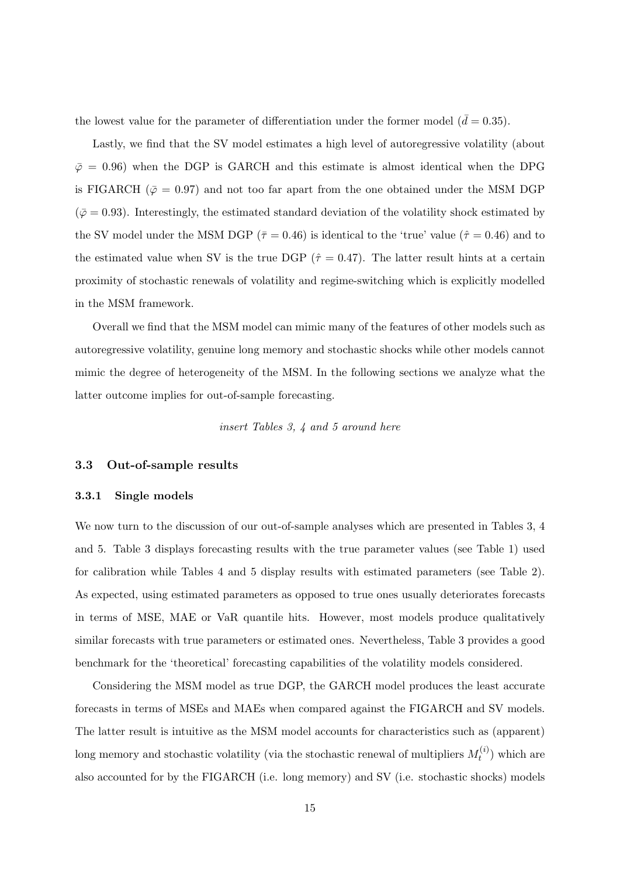the lowest value for the parameter of differentiation under the former model  $(\bar{d} = 0.35)$ .

Lastly, we find that the SV model estimates a high level of autoregressive volatility (about  $\bar{\varphi}$  = 0.96) when the DGP is GARCH and this estimate is almost identical when the DPG is FIGARCH ( $\bar{\varphi} = 0.97$ ) and not too far apart from the one obtained under the MSM DGP  $(\bar{\varphi} = 0.93)$ . Interestingly, the estimated standard deviation of the volatility shock estimated by the SV model under the MSM DGP ( $\bar{\tau} = 0.46$ ) is identical to the 'true' value ( $\hat{\tau} = 0.46$ ) and to the estimated value when SV is the true DGP ( $\hat{\tau} = 0.47$ ). The latter result hints at a certain proximity of stochastic renewals of volatility and regime-switching which is explicitly modelled in the MSM framework.

Overall we find that the MSM model can mimic many of the features of other models such as autoregressive volatility, genuine long memory and stochastic shocks while other models cannot mimic the degree of heterogeneity of the MSM. In the following sections we analyze what the latter outcome implies for out-of-sample forecasting.

insert Tables 3, 4 and 5 around here

## 3.3 Out-of-sample results

## 3.3.1 Single models

We now turn to the discussion of our out-of-sample analyses which are presented in Tables 3, 4 and 5. Table 3 displays forecasting results with the true parameter values (see Table 1) used for calibration while Tables 4 and 5 display results with estimated parameters (see Table 2). As expected, using estimated parameters as opposed to true ones usually deteriorates forecasts in terms of MSE, MAE or VaR quantile hits. However, most models produce qualitatively similar forecasts with true parameters or estimated ones. Nevertheless, Table 3 provides a good benchmark for the 'theoretical' forecasting capabilities of the volatility models considered.

Considering the MSM model as true DGP, the GARCH model produces the least accurate forecasts in terms of MSEs and MAEs when compared against the FIGARCH and SV models. The latter result is intuitive as the MSM model accounts for characteristics such as (apparent) long memory and stochastic volatility (via the stochastic renewal of multipliers  $M_t^{(i)}$  $t^{(i)}$ ) which are also accounted for by the FIGARCH (i.e. long memory) and SV (i.e. stochastic shocks) models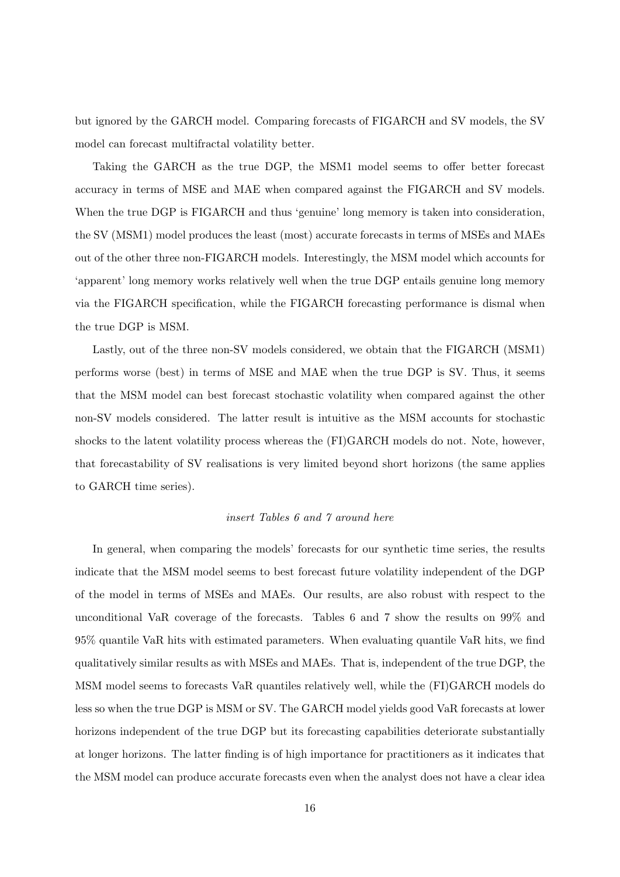but ignored by the GARCH model. Comparing forecasts of FIGARCH and SV models, the SV model can forecast multifractal volatility better.

Taking the GARCH as the true DGP, the MSM1 model seems to offer better forecast accuracy in terms of MSE and MAE when compared against the FIGARCH and SV models. When the true DGP is FIGARCH and thus 'genuine' long memory is taken into consideration, the SV (MSM1) model produces the least (most) accurate forecasts in terms of MSEs and MAEs out of the other three non-FIGARCH models. Interestingly, the MSM model which accounts for 'apparent' long memory works relatively well when the true DGP entails genuine long memory via the FIGARCH specification, while the FIGARCH forecasting performance is dismal when the true DGP is MSM.

Lastly, out of the three non-SV models considered, we obtain that the FIGARCH (MSM1) performs worse (best) in terms of MSE and MAE when the true DGP is SV. Thus, it seems that the MSM model can best forecast stochastic volatility when compared against the other non-SV models considered. The latter result is intuitive as the MSM accounts for stochastic shocks to the latent volatility process whereas the (FI)GARCH models do not. Note, however, that forecastability of SV realisations is very limited beyond short horizons (the same applies to GARCH time series).

# insert Tables 6 and 7 around here

In general, when comparing the models' forecasts for our synthetic time series, the results indicate that the MSM model seems to best forecast future volatility independent of the DGP of the model in terms of MSEs and MAEs. Our results, are also robust with respect to the unconditional VaR coverage of the forecasts. Tables 6 and 7 show the results on 99% and 95% quantile VaR hits with estimated parameters. When evaluating quantile VaR hits, we find qualitatively similar results as with MSEs and MAEs. That is, independent of the true DGP, the MSM model seems to forecasts VaR quantiles relatively well, while the (FI)GARCH models do less so when the true DGP is MSM or SV. The GARCH model yields good VaR forecasts at lower horizons independent of the true DGP but its forecasting capabilities deteriorate substantially at longer horizons. The latter finding is of high importance for practitioners as it indicates that the MSM model can produce accurate forecasts even when the analyst does not have a clear idea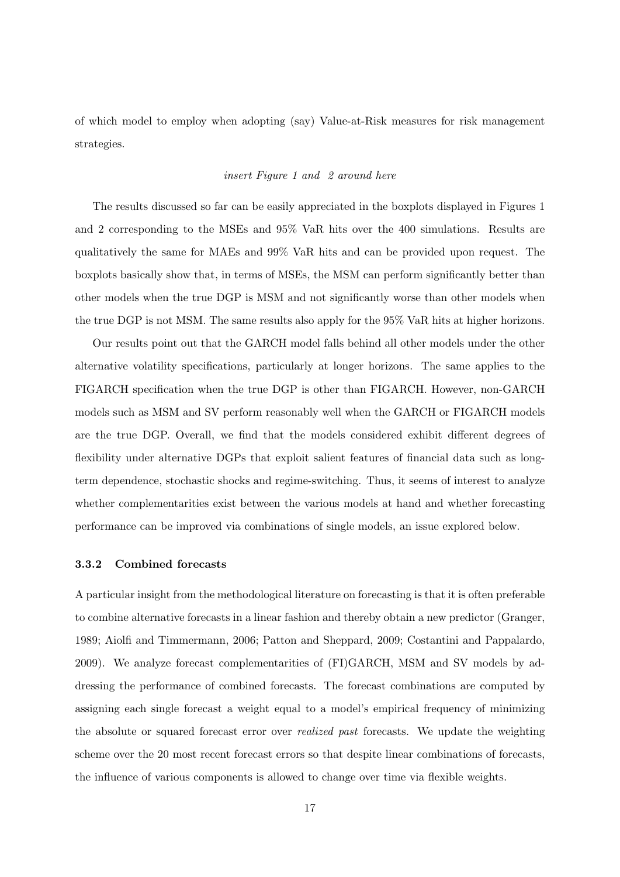of which model to employ when adopting (say) Value-at-Risk measures for risk management strategies.

## insert Figure 1 and 2 around here

The results discussed so far can be easily appreciated in the boxplots displayed in Figures 1 and 2 corresponding to the MSEs and 95% VaR hits over the 400 simulations. Results are qualitatively the same for MAEs and 99% VaR hits and can be provided upon request. The boxplots basically show that, in terms of MSEs, the MSM can perform significantly better than other models when the true DGP is MSM and not significantly worse than other models when the true DGP is not MSM. The same results also apply for the 95% VaR hits at higher horizons.

Our results point out that the GARCH model falls behind all other models under the other alternative volatility specifications, particularly at longer horizons. The same applies to the FIGARCH specification when the true DGP is other than FIGARCH. However, non-GARCH models such as MSM and SV perform reasonably well when the GARCH or FIGARCH models are the true DGP. Overall, we find that the models considered exhibit different degrees of flexibility under alternative DGPs that exploit salient features of financial data such as longterm dependence, stochastic shocks and regime-switching. Thus, it seems of interest to analyze whether complementarities exist between the various models at hand and whether forecasting performance can be improved via combinations of single models, an issue explored below.

## 3.3.2 Combined forecasts

A particular insight from the methodological literature on forecasting is that it is often preferable to combine alternative forecasts in a linear fashion and thereby obtain a new predictor (Granger, 1989; Aiolfi and Timmermann, 2006; Patton and Sheppard, 2009; Costantini and Pappalardo, 2009). We analyze forecast complementarities of (FI)GARCH, MSM and SV models by addressing the performance of combined forecasts. The forecast combinations are computed by assigning each single forecast a weight equal to a model's empirical frequency of minimizing the absolute or squared forecast error over realized past forecasts. We update the weighting scheme over the 20 most recent forecast errors so that despite linear combinations of forecasts, the influence of various components is allowed to change over time via flexible weights.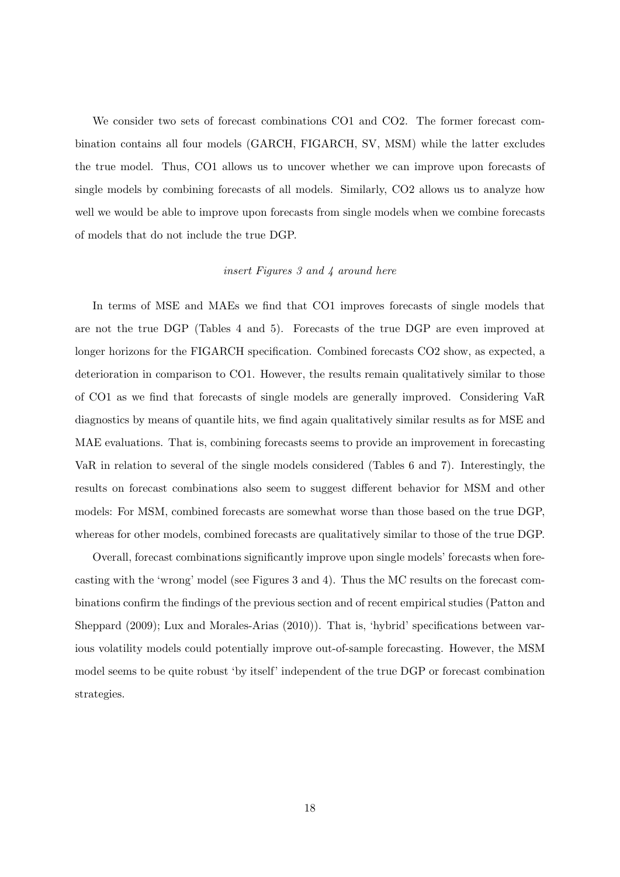We consider two sets of forecast combinations CO1 and CO2. The former forecast combination contains all four models (GARCH, FIGARCH, SV, MSM) while the latter excludes the true model. Thus, CO1 allows us to uncover whether we can improve upon forecasts of single models by combining forecasts of all models. Similarly, CO2 allows us to analyze how well we would be able to improve upon forecasts from single models when we combine forecasts of models that do not include the true DGP.

## insert Figures 3 and 4 around here

In terms of MSE and MAEs we find that CO1 improves forecasts of single models that are not the true DGP (Tables 4 and 5). Forecasts of the true DGP are even improved at longer horizons for the FIGARCH specification. Combined forecasts CO2 show, as expected, a deterioration in comparison to CO1. However, the results remain qualitatively similar to those of CO1 as we find that forecasts of single models are generally improved. Considering VaR diagnostics by means of quantile hits, we find again qualitatively similar results as for MSE and MAE evaluations. That is, combining forecasts seems to provide an improvement in forecasting VaR in relation to several of the single models considered (Tables 6 and 7). Interestingly, the results on forecast combinations also seem to suggest different behavior for MSM and other models: For MSM, combined forecasts are somewhat worse than those based on the true DGP, whereas for other models, combined forecasts are qualitatively similar to those of the true DGP.

Overall, forecast combinations significantly improve upon single models' forecasts when forecasting with the 'wrong' model (see Figures 3 and 4). Thus the MC results on the forecast combinations confirm the findings of the previous section and of recent empirical studies (Patton and Sheppard (2009); Lux and Morales-Arias (2010)). That is, 'hybrid' specifications between various volatility models could potentially improve out-of-sample forecasting. However, the MSM model seems to be quite robust 'by itself' independent of the true DGP or forecast combination strategies.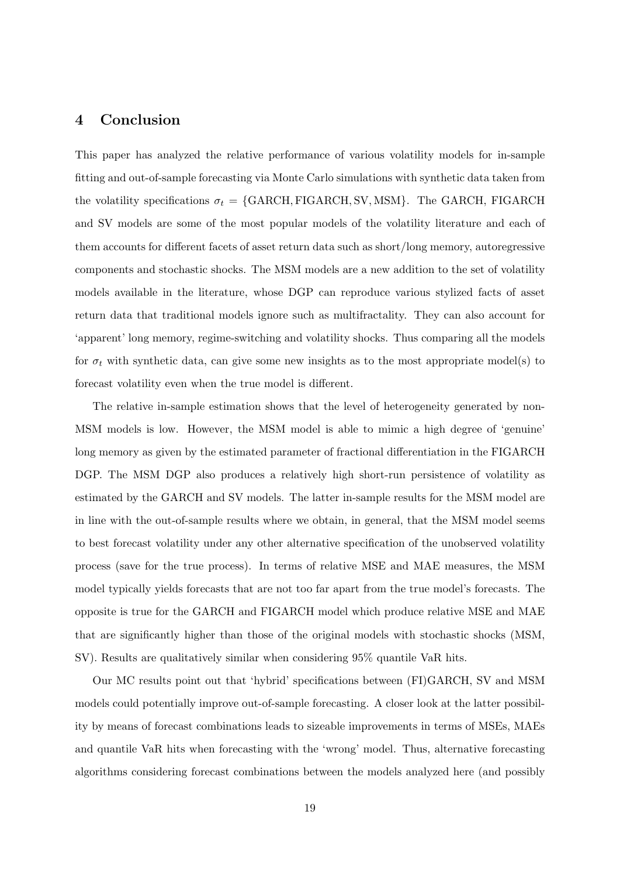# 4 Conclusion

This paper has analyzed the relative performance of various volatility models for in-sample fitting and out-of-sample forecasting via Monte Carlo simulations with synthetic data taken from the volatility specifications  $\sigma_t = \{GARCH, FIGARCH, SV, MSM\}$ . The GARCH, FIGARCH and SV models are some of the most popular models of the volatility literature and each of them accounts for different facets of asset return data such as short/long memory, autoregressive components and stochastic shocks. The MSM models are a new addition to the set of volatility models available in the literature, whose DGP can reproduce various stylized facts of asset return data that traditional models ignore such as multifractality. They can also account for 'apparent' long memory, regime-switching and volatility shocks. Thus comparing all the models for  $\sigma_t$  with synthetic data, can give some new insights as to the most appropriate model(s) to forecast volatility even when the true model is different.

The relative in-sample estimation shows that the level of heterogeneity generated by non-MSM models is low. However, the MSM model is able to mimic a high degree of 'genuine' long memory as given by the estimated parameter of fractional differentiation in the FIGARCH DGP. The MSM DGP also produces a relatively high short-run persistence of volatility as estimated by the GARCH and SV models. The latter in-sample results for the MSM model are in line with the out-of-sample results where we obtain, in general, that the MSM model seems to best forecast volatility under any other alternative specification of the unobserved volatility process (save for the true process). In terms of relative MSE and MAE measures, the MSM model typically yields forecasts that are not too far apart from the true model's forecasts. The opposite is true for the GARCH and FIGARCH model which produce relative MSE and MAE that are significantly higher than those of the original models with stochastic shocks (MSM, SV). Results are qualitatively similar when considering 95% quantile VaR hits.

Our MC results point out that 'hybrid' specifications between (FI)GARCH, SV and MSM models could potentially improve out-of-sample forecasting. A closer look at the latter possibility by means of forecast combinations leads to sizeable improvements in terms of MSEs, MAEs and quantile VaR hits when forecasting with the 'wrong' model. Thus, alternative forecasting algorithms considering forecast combinations between the models analyzed here (and possibly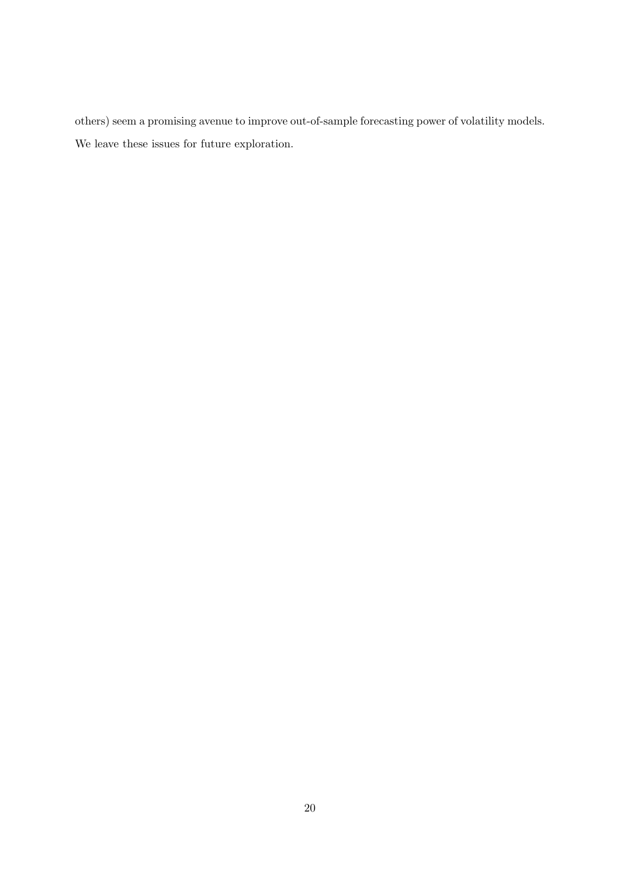others) seem a promising avenue to improve out-of-sample forecasting power of volatility models. We leave these issues for future exploration.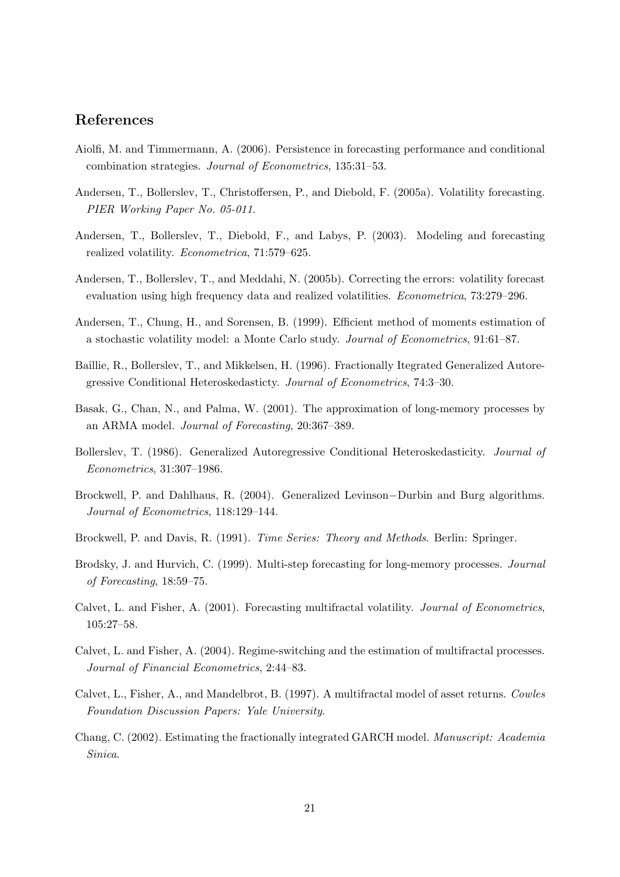# References

- Aiolfi, M. and Timmermann, A. (2006). Persistence in forecasting performance and conditional combination strategies. Journal of Econometrics, 135:31–53.
- Andersen, T., Bollerslev, T., Christoffersen, P., and Diebold, F. (2005a). Volatility forecasting. PIER Working Paper No. 05-011.
- Andersen, T., Bollerslev, T., Diebold, F., and Labys, P. (2003). Modeling and forecasting realized volatility. Econometrica, 71:579–625.
- Andersen, T., Bollerslev, T., and Meddahi, N. (2005b). Correcting the errors: volatility forecast evaluation using high frequency data and realized volatilities. Econometrica, 73:279–296.
- Andersen, T., Chung, H., and Sorensen, B. (1999). Efficient method of moments estimation of a stochastic volatility model: a Monte Carlo study. Journal of Econometrics, 91:61–87.
- Baillie, R., Bollerslev, T., and Mikkelsen, H. (1996). Fractionally Itegrated Generalized Autoregressive Conditional Heteroskedasticty. Journal of Econometrics, 74:3–30.
- Basak, G., Chan, N., and Palma, W. (2001). The approximation of long-memory processes by an ARMA model. Journal of Forecasting, 20:367–389.
- Bollerslev, T. (1986). Generalized Autoregressive Conditional Heteroskedasticity. Journal of Econometrics, 31:307–1986.
- Brockwell, P. and Dahlhaus, R. (2004). Generalized Levinson−Durbin and Burg algorithms. Journal of Econometrics, 118:129–144.
- Brockwell, P. and Davis, R. (1991). Time Series: Theory and Methods. Berlin: Springer.
- Brodsky, J. and Hurvich, C. (1999). Multi-step forecasting for long-memory processes. Journal of Forecasting, 18:59–75.
- Calvet, L. and Fisher, A. (2001). Forecasting multifractal volatility. Journal of Econometrics, 105:27–58.
- Calvet, L. and Fisher, A. (2004). Regime-switching and the estimation of multifractal processes. Journal of Financial Econometrics, 2:44–83.
- Calvet, L., Fisher, A., and Mandelbrot, B. (1997). A multifractal model of asset returns. Cowles Foundation Discussion Papers: Yale University.
- Chang, C. (2002). Estimating the fractionally integrated GARCH model. Manuscript: Academia Sinica.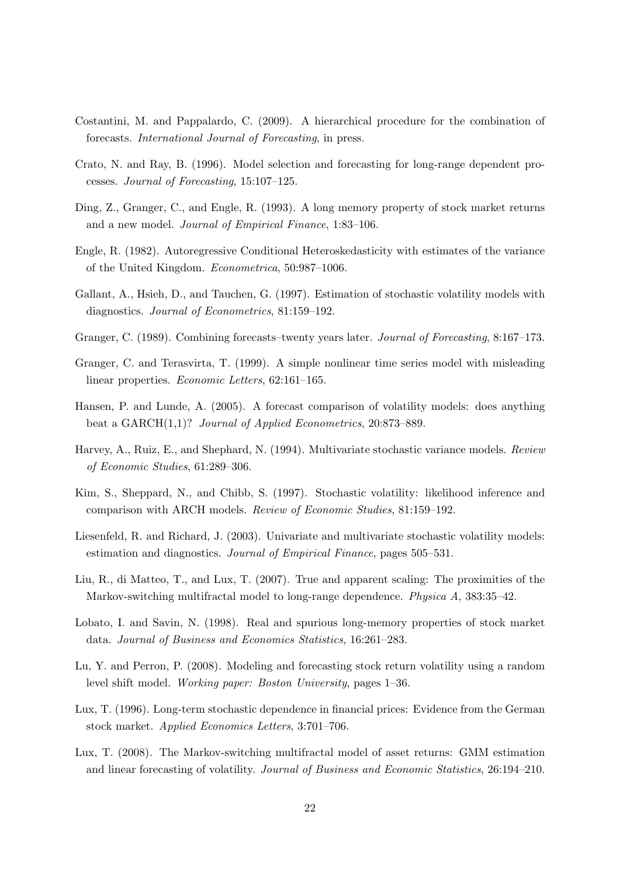- Costantini, M. and Pappalardo, C. (2009). A hierarchical procedure for the combination of forecasts. International Journal of Forecasting, in press.
- Crato, N. and Ray, B. (1996). Model selection and forecasting for long-range dependent processes. Journal of Forecasting, 15:107–125.
- Ding, Z., Granger, C., and Engle, R. (1993). A long memory property of stock market returns and a new model. Journal of Empirical Finance, 1:83–106.
- Engle, R. (1982). Autoregressive Conditional Heteroskedasticity with estimates of the variance of the United Kingdom. Econometrica, 50:987–1006.
- Gallant, A., Hsieh, D., and Tauchen, G. (1997). Estimation of stochastic volatility models with diagnostics. Journal of Econometrics, 81:159–192.
- Granger, C. (1989). Combining forecasts–twenty years later. Journal of Forecasting, 8:167–173.
- Granger, C. and Terasvirta, T. (1999). A simple nonlinear time series model with misleading linear properties. Economic Letters, 62:161–165.
- Hansen, P. and Lunde, A. (2005). A forecast comparison of volatility models: does anything beat a GARCH(1,1)? Journal of Applied Econometrics, 20:873–889.
- Harvey, A., Ruiz, E., and Shephard, N. (1994). Multivariate stochastic variance models. Review of Economic Studies, 61:289–306.
- Kim, S., Sheppard, N., and Chibb, S. (1997). Stochastic volatility: likelihood inference and comparison with ARCH models. Review of Economic Studies, 81:159–192.
- Liesenfeld, R. and Richard, J. (2003). Univariate and multivariate stochastic volatility models: estimation and diagnostics. Journal of Empirical Finance, pages 505–531.
- Liu, R., di Matteo, T., and Lux, T. (2007). True and apparent scaling: The proximities of the Markov-switching multifractal model to long-range dependence. Physica A, 383:35–42.
- Lobato, I. and Savin, N. (1998). Real and spurious long-memory properties of stock market data. Journal of Business and Economics Statistics, 16:261–283.
- Lu, Y. and Perron, P. (2008). Modeling and forecasting stock return volatility using a random level shift model. Working paper: Boston University, pages 1–36.
- Lux, T. (1996). Long-term stochastic dependence in financial prices: Evidence from the German stock market. Applied Economics Letters, 3:701–706.
- Lux, T. (2008). The Markov-switching multifractal model of asset returns: GMM estimation and linear forecasting of volatility. Journal of Business and Economic Statistics, 26:194–210.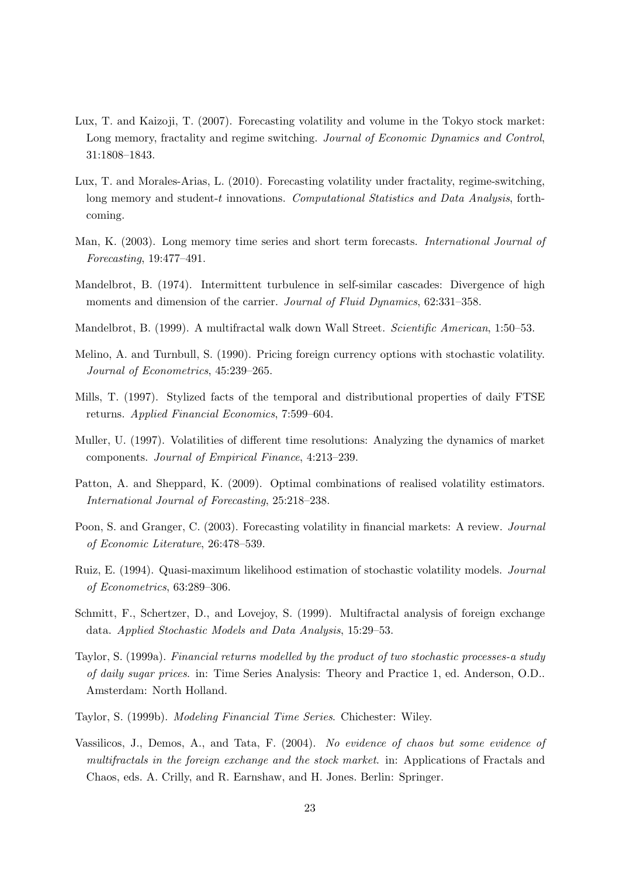- Lux, T. and Kaizoji, T. (2007). Forecasting volatility and volume in the Tokyo stock market: Long memory, fractality and regime switching. Journal of Economic Dynamics and Control, 31:1808–1843.
- Lux, T. and Morales-Arias, L. (2010). Forecasting volatility under fractality, regime-switching, long memory and student-t innovations. Computational Statistics and Data Analysis, forthcoming.
- Man, K. (2003). Long memory time series and short term forecasts. International Journal of Forecasting, 19:477–491.
- Mandelbrot, B. (1974). Intermittent turbulence in self-similar cascades: Divergence of high moments and dimension of the carrier. Journal of Fluid Dynamics, 62:331-358.
- Mandelbrot, B. (1999). A multifractal walk down Wall Street. Scientific American, 1:50–53.
- Melino, A. and Turnbull, S. (1990). Pricing foreign currency options with stochastic volatility. Journal of Econometrics, 45:239–265.
- Mills, T. (1997). Stylized facts of the temporal and distributional properties of daily FTSE returns. Applied Financial Economics, 7:599–604.
- Muller, U. (1997). Volatilities of different time resolutions: Analyzing the dynamics of market components. Journal of Empirical Finance, 4:213–239.
- Patton, A. and Sheppard, K. (2009). Optimal combinations of realised volatility estimators. International Journal of Forecasting, 25:218–238.
- Poon, S. and Granger, C. (2003). Forecasting volatility in financial markets: A review. Journal of Economic Literature, 26:478–539.
- Ruiz, E. (1994). Quasi-maximum likelihood estimation of stochastic volatility models. Journal of Econometrics, 63:289–306.
- Schmitt, F., Schertzer, D., and Lovejoy, S. (1999). Multifractal analysis of foreign exchange data. Applied Stochastic Models and Data Analysis, 15:29–53.
- Taylor, S. (1999a). Financial returns modelled by the product of two stochastic processes-a study of daily sugar prices. in: Time Series Analysis: Theory and Practice 1, ed. Anderson, O.D.. Amsterdam: North Holland.
- Taylor, S. (1999b). Modeling Financial Time Series. Chichester: Wiley.
- Vassilicos, J., Demos, A., and Tata, F. (2004). No evidence of chaos but some evidence of multifractals in the foreign exchange and the stock market. in: Applications of Fractals and Chaos, eds. A. Crilly, and R. Earnshaw, and H. Jones. Berlin: Springer.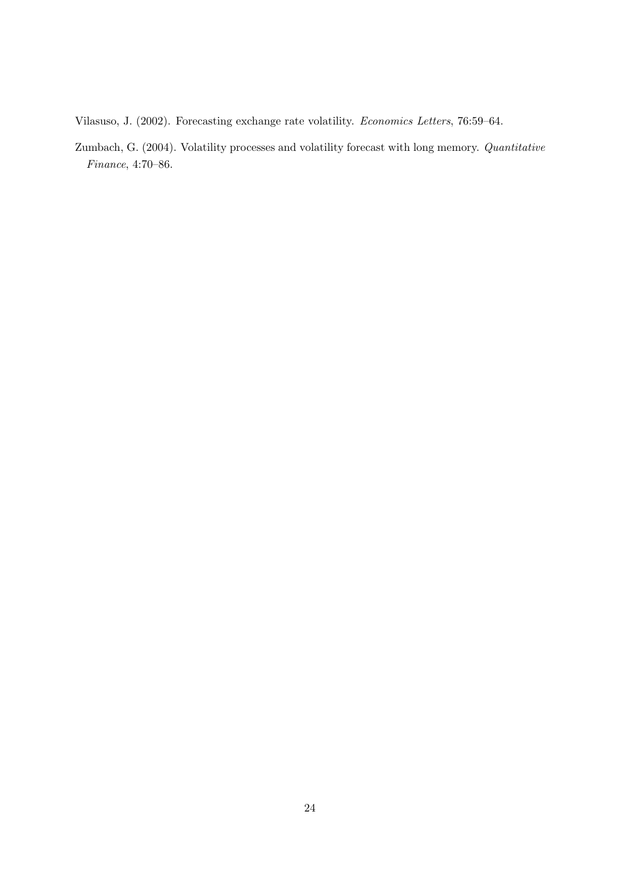Vilasuso, J. (2002). Forecasting exchange rate volatility. Economics Letters, 76:59–64.

Zumbach, G. (2004). Volatility processes and volatility forecast with long memory. Quantitative Finance, 4:70–86.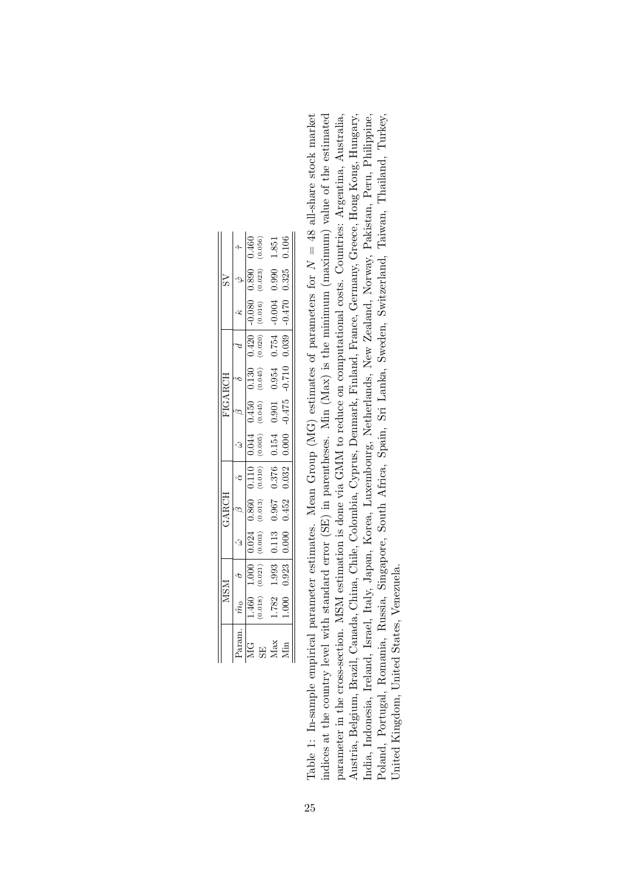|                    | MSM                  |                    | GARCH              |       |                      |          | FIGARCH              |         |                       |         |                |
|--------------------|----------------------|--------------------|--------------------|-------|----------------------|----------|----------------------|---------|-----------------------|---------|----------------|
|                    |                      |                    |                    |       |                      |          |                      |         |                       |         |                |
| $1.460$<br>$0.018$ | $1.000$<br>$(0.021)$ |                    | $0.860$<br>(0.013) | 0.110 | $0.044$<br>$(0.005)$ | (0.450)  | $0.130$<br>$(0.045)$ | (0.420) |                       | 0.890   | (0.460)        |
|                    |                      | $0.024$<br>$0.003$ |                    |       |                      |          |                      |         | $-0.080$<br>$(0.016)$ | (0.023) |                |
| 1.782              | 1.993                | 1.113              | 0.967              | 0.376 | 0.154                | 0.901    | 0.954                | 0.754   | $-0.004$              | 0.990   | 1.851<br>0.106 |
| $000$ .            | 0.923                | 0.000              | 0.452              | 0.32  | 0.000                | $-0.475$ | $-0.710$             | 0.39    | 0.470                 | 0.325   |                |

Table 1: In-sample empirical parameter estimates. Mean Group (MG) estimates of parameters for  $N = 48$  all-share stock market indices at the country level with standard error (SE) in parentheses. Min (Max) is the minimum (maximum) value of the estimated India, Indonesia, Ireland, Israel, Italy, Japan, Korea, Luxembourg, Netherlands, New Zealand, Norway, Pakistan, Peru, Philippine, indices at the country level with standard error (SE) in parentheses. Min (Max) is the minimum (maximum) value of the estimated parameter in the cross-section. MSM estimation is done via GMM to reduce on computational costs. Countries: Argentina, Australia, Austria, Belgium, Brazil, Canada, China, Chile, Colombia, Cyprus, Denmark, Finland, France, Germany, Greece, Hong Kong, Hungary, Poland, Portugal, Romania, Russia, Singapore, South Africa, Spain, Sri Lanka, Sweden, Switzerland, Taiwan, Thailand, Turkey, Table 1: In-sample empirical parameter estimates. Mean Group (MG) estimates of parameters for  $N = 48$  all-share stock market parameter in the cross-section. MSM estimation is done via GMM to reduce on computational costs. Countries: Argentina, Australia, Austria, Belgium, Brazil, Canada, China, Chile, Colombia, Cyprus, Denmark, Finland, France, Germany, Greece, Hong Kong, Hungary, India, Indonesia, Ireland, Israel, Italy, Japan, Korea, Luxembourg, Netherlands, New Zealand, Norway, Pakistan, Peru, Philippine, Poland, Portugal, Romania, Russia, Singapore, South Africa, Spain, Sri Lanka, Sweden, Switzerland, Taiwan, Thailand, Turkey, United Kingdom, United States, Venezuela. United Kingdom, United States, Venezuela.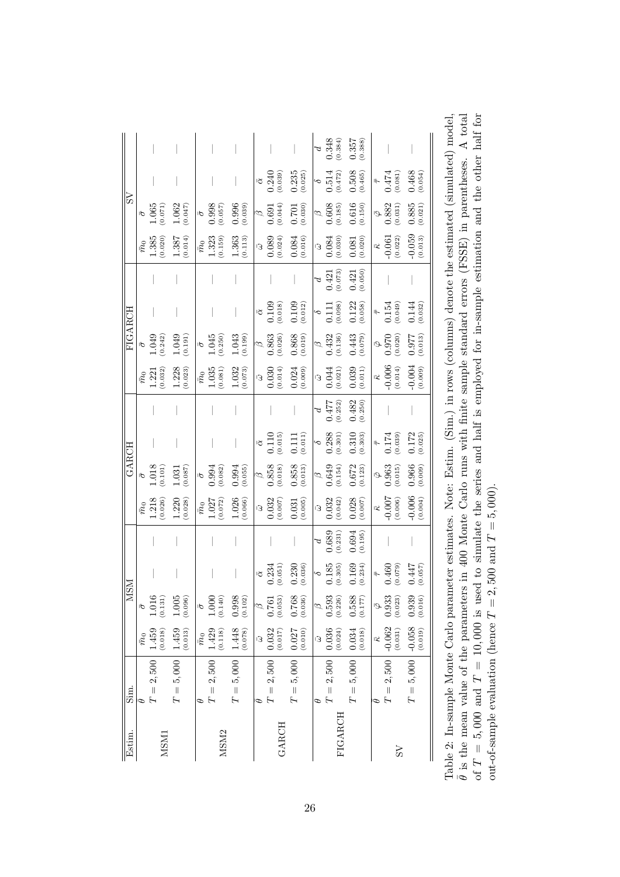|                |                |                                                                 |                                        |                |                                         |                                                 |                                               |                                                                        |                                                        |               | $\begin{array}{c} d \\ 0.348 \\ \text{(0.384)} \end{array}$                            | $0.357$<br>$(0.388)$                                   |           |                                                               |                                                        |
|----------------|----------------|-----------------------------------------------------------------|----------------------------------------|----------------|-----------------------------------------|-------------------------------------------------|-----------------------------------------------|------------------------------------------------------------------------|--------------------------------------------------------|---------------|----------------------------------------------------------------------------------------|--------------------------------------------------------|-----------|---------------------------------------------------------------|--------------------------------------------------------|
|                |                |                                                                 |                                        |                |                                         |                                                 |                                               | $\frac{\bar{\alpha}}{0.240}$<br>(0.039)                                | $0.235\atop(0.025)$                                    | $\sim$        | $0.514\phantom{00}(0.472)$                                                             | $0.508$<br>(0.465)                                     | $\bar{t}$ | (180.00)                                                      | (0.054)                                                |
| $\overline{S}$ |                | $\frac{\bar{\sigma}}{1.065}$<br>(0.071)                         | $1.062$<br>(0.047)                     |                | $\frac{\bar{\sigma}}{0.998}$<br>(0.057) | (0.039)                                         |                                               | $\begin{array}{c} \bar{\beta} \ 0.691 \ 0.044) \end{array}$            | (0.701)                                                |               | $\begin{array}{c} \hline \beta \ \phantom{+0.000} \mathbf{0.608} \ \hline \end{array}$ | $_{\tiny (0.150)}^{\quad \, 0.616}$                    |           | $\bar{\varphi}$ 982<br>0.882<br>0.031)                        | $0.885$<br>(0.021)                                     |
|                |                | $\bar{m}_0$<br>$1.385$<br>$(0.020)$                             | $\underset{\left(0.014\right)}{1.387}$ | $\bar{m}_0$    | $1.323$<br>(0.159)                      | $\begin{array}{c} 1.363 \\ (0.113) \end{array}$ |                                               | $\bar{\omega}$<br>0.089<br>0.024)                                      | (0.084)                                                |               | $\frac{\bar{\omega}}{0.084}$                                                           | $\begin{array}{c} 0.081 \\ 0.020 \end{array}$          |           | $-0.061$<br>$(0.022)$                                         | $-0.059$<br>$(0.013)$                                  |
|                |                |                                                                 |                                        |                |                                         |                                                 |                                               |                                                                        |                                                        | $\beta$       | $_{\left( 0.073\right) }^{0.421}$                                                      | (0.421)                                                |           |                                                               |                                                        |
| FIGARCH        |                |                                                                 |                                        |                |                                         |                                                 |                                               | $\frac{\bar{\alpha}}{0.109}$                                           | $0.109$<br>(0.012)                                     |               | $\frac{\delta}{0.111}$<br>(0.098)                                                      | (0.122)                                                |           | $\begin{array}{c} \bar{\tau} \\ 0.154 \\ (0.049) \end{array}$ | $\begin{array}{c} 0.144 \\ \text{(0.032)} \end{array}$ |
|                |                | $\frac{\bar{\sigma}}{1.049}$<br>(0.242)                         | (0.191)                                |                | $\frac{\bar{\sigma}}{1.045}$<br>(0.250) | $1.043$<br>(0.199)                              |                                               | $\begin{array}{c} \overline{\beta} \ 0.863 \ 0.026) \end{array}$       | (0.019)                                                |               | $\sqrt{\frac{\beta}{0.432}}$<br>(0.136)                                                | $_{\left( 0.079\right) }^{0.443}$                      |           | $\bar{\varphi}$<br>0.970 $\atop(0.020)$                       | (810.0)                                                |
|                |                | $\bar{m}_0$<br>1.221<br>0.032)                                  | $1.228$<br>(0.023)                     | $\bar{m}_0$    | $1.035$<br>(0.081)                      | $1.032\atop(0.073)$                             |                                               | $\begin{array}{r} \hline \bar{\omega} \\ 0.030 \\ 0.014) \end{array}$  | $0.024$<br>(0.009)                                     |               | $\begin{array}{c} \bar{\omega} \\ 0.044 \\ (0.021) \end{array}$                        | (0.039)                                                |           | $\frac{\overline{\kappa}}{0.006}$<br>(0.014)                  | $-0.004$<br>(0.009)                                    |
|                |                |                                                                 |                                        |                |                                         |                                                 |                                               |                                                                        |                                                        | $\beta$       | $0.477$ $\left(0.252\right)$                                                           | (0.482)                                                |           |                                                               |                                                        |
| GARCH          |                |                                                                 |                                        |                |                                         |                                                 |                                               | $\bar{\alpha}$ 0.110<br>(0.015)                                        | (0.111)                                                |               | $\frac{6}{0.288}$                                                                      | $\begin{array}{c} 0.310 \\ \text{(0.303)} \end{array}$ |           | $^{+}_{0.174}$<br>0.174                                       | $0.172$<br>(0.025)                                     |
|                |                | $\begin{array}{c} \bar{\sigma} \\ 1.018 \\ (0.101) \end{array}$ | $\underset{\left(0.087\right)}{1.031}$ |                | $\frac{\bar{\sigma}}{0.994}$            | (0.055)                                         |                                               | $\begin{array}{c} \hline \beta \\ 0.858 \\ \text{(0.018)} \end{array}$ | $\begin{array}{c} 0.858 \\ \text{(0.013)} \end{array}$ |               | $0.649$<br>$(0.154)$                                                                   | $\begin{array}{c} 0.672 \\ 0.123 \end{array}$          |           | $\bar{\varphi}$ 0.963<br>0.963                                | $0.966$<br>(0.009)                                     |
|                |                | $\bar{m}_0$<br>1.218<br>(0.026)                                 | $1.220$<br>(0.028)                     | $\bar{m}_0$    | $1.027$ $\left(0.072\right)$            | $1.026$<br>(0.066)                              |                                               | $\bar{\omega}$<br>0.032<br>(0.007)                                     | $0.031$<br>$(0.005)$                                   |               | $\bar{\omega}$<br>0.032<br>(0.042)                                                     | $0.028$<br>(0.007)                                     |           | $-0.007$<br>$-0.006$                                          | $-0.006$<br>(0.004)                                    |
|                |                |                                                                 |                                        |                |                                         |                                                 |                                               |                                                                        |                                                        | $\mathcal{L}$ | $0.689$<br>$(0.231)$                                                                   | $0.694$<br>(0.195)                                     |           |                                                               |                                                        |
|                |                |                                                                 |                                        |                |                                         |                                                 |                                               | $\frac{\bar{\alpha}}{0.234}$<br>(0.051)                                | (0.230)                                                | $\sim$        | $\begin{array}{c} 0.185 \\ (0.305) \end{array}$                                        | (0.169)                                                |           | $_{\left( 0.079\right) }^{0.460}$                             | (0.057)                                                |
| <b>MSM</b>     | $\bar{\sigma}$ | $\begin{array}{c} 1.016 \\ 0.131 \end{array}$                   | $1.005$ $\left(0.096\right)$           | $\bar{\sigma}$ | $1.000$<br>(0.140)                      | $0.998$<br>$(0.102)$                            | $\begin{array}{c} \beta \\ 0.761 \end{array}$ | (0.053)                                                                | $\frac{0.768}{(0.036)}$                                |               | $\begin{array}{c} \beta \\ 0.593 \\ \text{(0.226)} \end{array}$                        | $0.588$<br>$(0.177)$                                   | 6.933     | (0.023)                                                       | $0.939$<br>$(0.016)$                                   |
|                | $\bar{m}_0$    | $1.459$<br>(0.018)                                              | $1.459$<br>(0.013)                     | $\bar{m}_0$    | $1.429$ $\left(0.118\right)$            | $1.448\atop(0.078)$                             | $\overline{3}$                                | $0.032\atop(0.017)$                                                    | $0.027$<br>(0.010)                                     |               | $\bar{\omega}$<br>0.036<br>0.024)                                                      | $0.034$ (0.018)                                        | $-0.062$  | (0.031)                                                       |                                                        |
| Sim.           | D              | $\Gamma=2,500$                                                  | $T=5,000\,$                            | Ф              | $T=2,500\,$                             | $T=5,000\,$                                     | Φ                                             | $T=2,500\,$                                                            | $T=5,000\,$                                            | Φ             | $T=2,500\,$                                                                            | $T=5,000\,$                                            |           | $T=2,500\,$                                                   | $T = 5,000$ $-0.058$<br>(0.019)                        |
| Estim.         |                | <b>NSM1</b>                                                     |                                        |                | MSM <sub>2</sub>                        |                                                 |                                               | <b>GARCH</b>                                                           |                                                        |               | <b>FIGARCH</b>                                                                         |                                                        |           | SS                                                            |                                                        |

 $\bar{\theta}$  is the mean value of the parameters in 400 Monte Carlo runs with finite sample standard errors (FSSE) in parentheses. A total of  $T = 5,000$  and  $T = 10,000$  is used to simulate the series and half is employed for i Table 2: In-sample Monte Carlo parameter estimates. Note: Estim. (Sim.) in rows (columns) denote the estimated (simulated) model,  $\theta$  is the mean value of the parameters in 400 Monte Carlo runs with finite sample standard errors (FSSE) in parentheses. A total of  $T = 5,000$  and  $T = 10,000$  is used to simulate the series and half is employed for in-sample estimation and the other half for Table 2: In-sample Monte Carlo parameter estimates. Note: Estim. (Sim.) in rows (columns) denote the estimated (simulated) model,<br>∂ is the mean value of the parameters in 400 Monte Carlo runs with finite sample standard er out-of-sample evaluation (hence  $T = 2,500$  and  $T = 5,000$ ). out-of-sample evaluation (hence  $T = 2,500$  and  $T = 5,000$ ).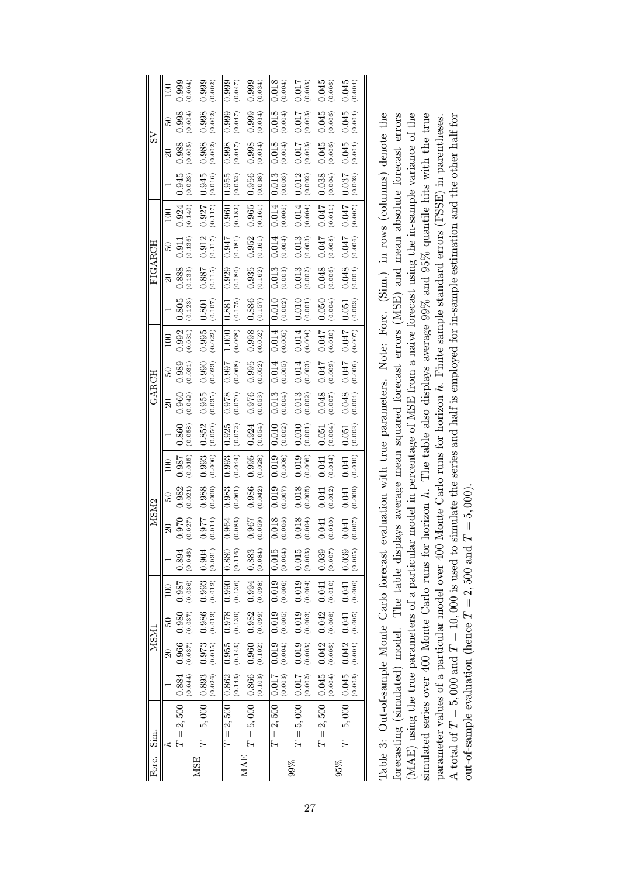|                  | 100             | 0.999<br>(0.004)                              | 0.999<br>(0.002)                                         | 0.999<br>(0.047)                                                         | (0.034)                                       | 0.018<br>(0.004)  | 0.017<br>(0.003)                              | 0.045<br>(0.006)                               | 0.045<br>(0.004)                                   |                                                                          |
|------------------|-----------------|-----------------------------------------------|----------------------------------------------------------|--------------------------------------------------------------------------|-----------------------------------------------|-------------------|-----------------------------------------------|------------------------------------------------|----------------------------------------------------|--------------------------------------------------------------------------|
| S <sub>V</sub>   | $\overline{50}$ | (0.004)<br>0.998                              | 0.998<br>(0.002)                                         | (0.047)<br>0.999                                                         | $(0.999$<br>$(0.034)$                         | (0.004)<br>0.018  | (110.0000)                                    | 0.045<br>(0.006)                               | 0.045<br>(0.004)                                   |                                                                          |
|                  | 20              | (0.005)<br>0.988                              | $0.988$<br>(0.002)                                       | (0.047)<br>0.998                                                         | $0.998$<br>(0.034)                            | (0.004)<br>0.018  | (0.003)                                       | (0.006)<br>0.045                               | (0.004)<br>0.045                                   | are linetion with twis momentaire Nichol Gim Is rewre (approximately for |
|                  |                 | (0.023)<br>0.945                              | $0.945$<br>$(0.016)$                                     | $\frac{0.955}{(0.052)}$                                                  | $\begin{array}{c} 0.956 \\ 0.038 \end{array}$ | (0.003)<br>0.013  | $0.012$<br>(0.002)                            | (0.038)                                        | $\begin{array}{c} 0.037 \\ 0.003 \end{array}$      |                                                                          |
|                  | 100             | $0.924$ (0.140)                               | $\begin{bmatrix} 0.927 \\ 0.117 \end{bmatrix}$           | $\left(0.182\right)$<br>0.960                                            | 0.965<br>(0.161)                              | (0.006)<br>0.014  | (0.004)<br>$0.014\,$                          | $\frac{0.047}{540}$                            | (0.007)<br><b>0.047</b>                            |                                                                          |
|                  | $\overline{50}$ | (0.136)<br>0.911                              | $\begin{array}{c} 0.912 \\ 0.117 \end{array}$            | $\left( 0.181\right)$<br>0.947                                           | (0.161)                                       | (0.004)<br>0.014  | (0.013)                                       | (800.00)                                       | (0.006)                                            |                                                                          |
| FIGARCH          | $\overline{20}$ | $\begin{array}{c} 0.888 \\ 0.133 \end{array}$ | $\begin{array}{c} 0.885 \\ 788. \end{array}$             | $\frac{0.929}{(0.180)}$                                                  | $\begin{array}{c} 0.935 \\ 0.162 \end{array}$ | (0.003)<br>0.013  | $\begin{array}{c} 0.013 \\ 0.002 \end{array}$ | $0.048$<br>$(0.006)$                           | $0.048$<br>(0.004)                                 |                                                                          |
|                  |                 | $\begin{array}{c} 0.805 \\ 0.123 \end{array}$ | $\begin{array}{c} 0.801 \\ 0.107 \end{array}$            | $\begin{array}{ c c } \hline 0.881 \\ \hline 1880 \\ \hline \end{array}$ | $\begin{array}{c} 0.886 \\ 0.157 \end{array}$ | (0.002)<br>0.010  | (0.010)                                       | (0.050)                                        | $\underset{\left(0.063\right)}{0.051}$             |                                                                          |
|                  | 100             | $(0.031)$<br>0.992                            | $\begin{array}{c c} 0.995 \\ \hline (0.022) \end{array}$ | $1.000$<br>(0.068)                                                       | $0.998$<br>(0.052)                            | (0.005)<br>0.014  | 0.014<br>(0.004)                              | 110.0<br>(0.010)                               | (0.007)<br><b>170.0</b>                            |                                                                          |
|                  | $\overline{50}$ | $0.989$<br>$(0.031)$                          | (0.990                                                   | (890.00)                                                                 | (0.995                                        | (0.005)<br>0.014  | $0.014$<br>(0.003)                            | $(600 \cdot 0)$<br>$270 \cdot 0$               | $^{(900\,0)}_{\mathbf{L} \mathbf{F} \mathbf{0}.0}$ |                                                                          |
| GARCH            | 20              | (0.042)<br>0.960                              | $\begin{array}{c} 0.955 \\ 0.035 \end{array}$            | (0.078)                                                                  | $0.976$<br>(0.053)                            | (0.004)<br>0.013  | $\begin{array}{c} 0.013 \\ 0.002 \end{array}$ | $0.048$<br>$(0.007)$                           | (0.004)<br>0.048                                   |                                                                          |
|                  |                 | (0.058)<br>0.860                              | (0.050)<br>0.852                                         | $\begin{array}{c} 0.925 \\ 0.072 \end{array}$                            | $0.924$<br>(0.054)                            | (0.002)<br>0.010  | (0.010)                                       | $\begin{array}{c} 0.051 \\ 0.004) \end{array}$ | (0.003)<br>0.051                                   |                                                                          |
|                  | 100             | 0.987<br>(0.015)                              | 0.993<br>(0.006)                                         | 0.993<br>(0.044)                                                         | 0.995<br>(0.028)                              | (0.008)<br>0.019  | 0.019<br>(0.006)                              | (0.014)<br>0.041                               | (0.010)<br>0.041                                   |                                                                          |
|                  | $\overline{50}$ | 0.982<br>(0.021)                              | 0.988<br>(0.009)                                         | 0.983<br>(0.061)                                                         | 0.986<br>(0.042)                              | 0.019<br>(0.007)  | (0.018)                                       | (0.012)<br>0.041                               | (0.009)<br>0.041                                   |                                                                          |
| MSM <sub>2</sub> | $\Omega$        | (0.027)<br>0.970                              | (0.014)<br>0.977                                         | (0.083)<br>0.964                                                         | 0.967<br>(0.059)                              | (0.006)<br>0.018  | $0.018\,$<br>(0.004)                          | (0.010)<br>0.041                               | (0.007)<br>0.041                                   |                                                                          |
|                  |                 | 0.894<br>(0.046)                              | 10.904<br>(0.031)                                        | (0.116)<br>$\overline{0.880}$                                            | $-0.883$<br>(0.084)                           | 0.015<br>(0.004)  | 0.015<br>(0.003)                              | 0.039<br>(0.007)                               | 0.039<br>(0.005)                                   |                                                                          |
|                  | 100             | (0.036)<br>786.0                              | 0.993<br>(0.012)                                         | 0.990<br>(0.136)                                                         | 0.994<br>(0.098)                              | (0.006)<br>0.019  | 0.019<br>(0.004)                              | (0.010)<br>$0.04\overline{1}$                  | 0.041<br>(0.006)                                   |                                                                          |
|                  | řΟ,             | (0.037)<br>0.980                              | 0.986<br>(0.013)                                         | 0.978                                                                    | (0.099)<br>0.982                              | (0.005)<br>0.019  | 0.019 0.019<br>(0.003)                        | $(0.006)$ $(0.008)$<br>$0.042$ $0.042$         | 0.041<br>$(0.004)$ $(0.005)$                       |                                                                          |
| <b>INSM</b>      | $\overline{20}$ | (0.037)<br>0.966                              | 0.973<br>(0.015)                                         | $(0.143)$ $(0.139)$<br>0.955                                             | $0.960$<br>$(0.102)$                          | (0.004)<br>0.019  | (0.003)                                       |                                                | 0.042                                              |                                                                          |
|                  |                 | (0.044)<br>  0.884                            | (0.026)                                                  | (0.143)                                                                  | (0.103)                                       | (0.003)<br> 0.017 | (0.002)                                       | (0.004)                                        | (0.003)                                            |                                                                          |
| Sim.             |                 | $T = 2,500$                                   | $T=5,000$ 0.893                                          | $T = 2,500   0.862$                                                      | $T = 5,000   0.866$                           | $T=2,500\,$       | $T=5,000$   0.017                             | $T = 2,500   0.045$                            | $T = 5,000   0.045$                                | Table 2: Out of covering Monte Carlo foract                              |
| Forc.            |                 |                                               | <b>MSE</b>                                               |                                                                          | <b>MAE</b>                                    |                   | 99%                                           |                                                | 95%                                                |                                                                          |

| Table 3: Out-of-sample Monte Carlo forecast evaluation with true parameters. Note: Forc. (Sim.) in rows (columns) denote the                |
|---------------------------------------------------------------------------------------------------------------------------------------------|
| orecasting (simulated) model. The table displays average mean squared forecast errors (MSE) and mean absolute forecast errors               |
| (MAE) using the true parameters of a particular model in percentage of MSE from a naive forecast using the in-sample variance of the        |
| simulated series over 400 Monte Carlo runs for horizon h. The table also displays average 99% and 95% quantile hits with the true           |
| parameter values of a particular model over 400 Monte Carlo runs for horizon h. Finite sample standard errors (FSSE) in parentheses.        |
| A total of $T = 5,000$ and $T = 10,000$ is used to simulate the series and half is employed for in-sample estimation and the other half for |
| out-of-sample evaluation (hence $T = 2,500$ and $T = 5,000$ ).                                                                              |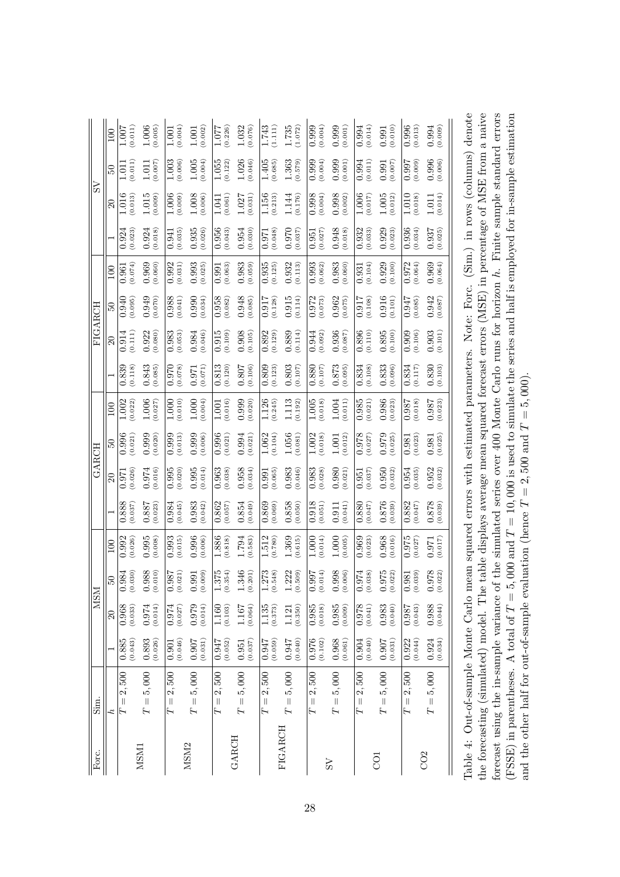|            | 100                 | (0.011)<br>1.007                | 1.006<br>(0.005)                | (0.004)<br>1.001          | (0.002)<br>1.001                                      | 1.077<br>(0.226)           | 1.032<br>(0.076)                              | 1.743<br>(1.111)              | 1.735<br>(1.072)       | 0.999<br>(0.004)                              | 0.999<br>(0.001)     | (0.014)<br>0.994           | (0.010)<br>0.991     | 0.996<br>(0.013)           | 0.994<br>(0.009)   |
|------------|---------------------|---------------------------------|---------------------------------|---------------------------|-------------------------------------------------------|----------------------------|-----------------------------------------------|-------------------------------|------------------------|-----------------------------------------------|----------------------|----------------------------|----------------------|----------------------------|--------------------|
|            | $\overline{50}$     | (0.011)<br>io.<br>C             | (700.0)<br>1.011                | 1.003<br>(0.006)          | 1.005<br>(0.004)                                      | 1.055<br>(0.122)           | 1.026<br>(0.046)                              | 1.405<br>(0.685)              | 1.363<br>(0.579)       | (0.004)<br>0.999                              | 0.999<br>(0.001)     | (0.011)<br>0.994           | (0.007)              | <b>1660</b><br>(0.009)     | 0.996<br>(0.006)   |
| SS         | $\Omega$            | 1.016<br>(0.013)                | 1.015<br>(0.009)                | 1.006<br>(0.009)          | 1.008<br>(0.006)                                      | (0.061)<br>1.041           | (0.031)<br>1.027                              | 1.156<br>(0.213)              | 1.144<br>0.176         | 0.998<br>(0.004)                              | 0.998<br>(0.002)     | 1.006<br>(0.017)           | 1.005<br>(0.012)     | 1.010<br>(0.018)           | (0.014)<br>1.011   |
|            |                     | (0.023)<br>0.924                | 0.924<br>(0.018)                | (0.035)<br>0.941          | 0.935<br>(0.026)                                      | 0.956<br>(0.043)           | (0.030)<br>0.954                              | (0.048)<br>0.971              | 0.970<br>(0.037)       | (0.027)<br>0.951                              | 0.948<br>(610.0)     | (0.033)<br>0.932           | 0.929<br>(0.023)     | 0.936<br>(0.034)           | 0.937<br>(0.025)   |
|            | 100                 | (0.074)<br>0.961                | 0.969<br>(0.060)                | 0.992<br>(0.031)          | 0.993<br>0.025)                                       | (0.063)<br>0.991           | 0.983<br>(0.059)                              | 0.935<br>(0.125)              | 0.932<br>(0.113)       | 0.993<br>(0.062)                              | 0.983<br>(0.060)     | (0.104)<br>0.931           | 0.929<br>(0.100)     | 0.972<br>(0.064)           | 0.969<br>(0.064)   |
|            | $\overline{50}$     | 0.940<br>(0.095)                | 0.949<br>(0.070)                | 0.988<br>0.041            | 0.990<br>0.034)                                       | 0.958<br>(0.082)           | 0.948<br>(0.085)                              | 0.917<br>(0.128)              | 0.915<br>(0.114)       | 0.972<br>(0.073)                              | 0.962<br>(0.075)     | (0.108)<br>0.917           | $0.916$<br>$(0.101)$ | 0.947<br>(0.085)           | 0.942<br>(0.087)   |
| FIGARCH    | $\overline{\Omega}$ | (0.111)<br>0.914                | (0.080)<br>0.922                | 0.983<br>(0.053)          | 0.984<br>(0.046)                                      | 0.915<br>(0.109)           | 0.908<br>(0.105)                              | 0.892<br>(0.129)              | 0.889<br>0.114         | 0.944<br>(0.092)                              | 0.936<br>(0.087)     | 0.896<br>(0.110)           | 0.895<br>(0.100)     | 0.909<br>(0.106)           | 0.903<br>(0.101)   |
|            |                     | 0.839<br>(0.118)                | 0.843<br>(0.085)                | (870.0)<br>0.970          | (170.0)<br>0.971                                      | (0.120)<br>0.813           | (0.106)<br>0.807                              | (0.123)<br>0.809              | 0.803<br>(0.107)       | 0.880<br>(0.107)                              | 0.873<br>(0.095)     | (0.108)<br>0.834           | 0.833<br>(0.096)     | (0.117)<br>0.834           | 0.830<br>(0.103)   |
|            | 100                 | 1.002<br>(0.022)                | 1.006<br>(0.027)                | 1.000<br>0.010)           | 1.000<br>0.004)                                       | (0.016)<br>1.001           | 0.999<br>(0.020)                              | 1.126<br>(0.245)              | 1.113<br>(0.192)       | 1.005<br>(0.018)                              | 1.004<br>(0.011)     | 0.985<br>(0.021)           | 0.986<br>(0.023)     | 0.987<br>(0.018)           | 786.0<br>(0.023)   |
|            | $\overline{50}$     | (0.021)<br>0.996                | 0.999<br>(0.020)                | 0.999<br>(0.013)          | 0.999<br>0.006                                        | 0.996<br>0.021)            | 0.994<br>(0.021)                              | 1.062<br>0.104)               | 1.056<br>0.081)        | 1.002<br>0.018)                               | 0.012)<br>1.001      | 0.978<br>(0.027)           | 0.979<br>(0.025)     | (0.023)<br>0.981           | (0.025)<br>0.981   |
| GARCH      | $\overline{\Omega}$ | (0.026)<br>0.971                | (0.016)<br>0.974                | 0.995<br>(0.020)          | 0.995<br>(0.014)                                      | 0.963<br>(0.038)           | 0.958<br>(0.034)                              | (0.065)<br>0.991              | 0.983<br>(0.046)       | 0.983<br>(0.028)                              | 0.980<br>(0.021)     | (0.037)<br>0.951           | 0.950<br>(0.032)     | 0.954<br>(0.035)           | 0.952<br>(0.032)   |
|            |                     | 0.888<br>(0.037)                | 0.887<br>(0.023)                | 0.984<br>(0.045)          | 0.983<br>(0.042)                                      | 0.862<br>(0.057)           | (0.049)<br>0.854                              | 0.869<br>(0.069)              | 0.858<br>(0.050)       | 0.918<br>(0.051)                              | (0.041)<br>0.911     | (0.047)<br>0.880           | 0.876<br>(0.039)     | 0.882<br>(0.047)           | 0.878<br>(0.039)   |
|            | 100                 | 0.992<br>(0.026)                | 0.995<br>(0.008)                | 0.993<br>(0.015)          | 0.996<br>(0.006)                                      | 1.886<br>(818)             | 1.794<br>(0.583)                              | 1.512<br>(0.780)              | 1.369<br>(0.615)       | 1.000<br>(0.014)                              | 1.000<br>(0.005)     | 0.969<br>(0.023)           | 0.968<br>(0.016)     | 0.975<br>(0.027)           | (0.017)<br>0.971   |
| <b>NSM</b> | $50^{\circ}$        | (30)<br>$\overline{984}$<br>ं ९ | 988<br>(010)<br>$\circ$ $\circ$ | 786<br>021)<br><u>ં ૧</u> | (600)<br>991<br>ं ९                                   | 375<br>354)<br>$\circ$     | 346<br>201)<br>$\circ$                        | 273<br>548)<br>$\circ$        | 222<br>509<br>$\div$ 6 | (14)<br>766<br>ö<br>$\circ$                   | 998<br>(006)<br>ರ ೮  | 974<br>(38)<br>ं ९         | 975<br>022)<br>ರ ೮   | (39)<br>981<br>o é         | 978<br>022)<br>ं ९ |
|            | 20                  | 0.968<br>(0.033)                | (0.014)<br>$0.974\,$            | (0.027)<br>0.974          | $626.0$<br>626.0                                      | (0.103)<br>1.160           | (0.064)<br>1.167                              | (0.373)<br>$1.135\,$          | (0.350)<br>1.121       | $\begin{array}{c} 0.985 \\ 0.018 \end{array}$ | $0.985$<br>$(0.009)$ | (0.041)<br>0.978           | $0.983$<br>$(0.040)$ | (0.043)<br>0.987           | (0.988)            |
|            |                     | (0.043)<br>0.885                | $\frac{0.893}{(0.026)}$         | (0.046)<br>0.901          | (180.01)                                              | (0.052)<br>0.947           | $\begin{array}{c} 0.951 \\ 0.037 \end{array}$ | (6.050)                       | (0.040)<br>0.947       | (0.102)<br>0.976                              | (0.061)<br>0.968     | (0.040)<br>0.904           | (180.01)             | (0.044)<br>0.922           | 0.924<br>(0.034)   |
| Sim.       | Ŀ                   | 2,500<br>$\lvert \rvert$<br>H   | 5,000<br>$T =$                  | 2,500<br>Γ                | 5,000<br>$\left\vert {}\right\vert$<br>$\overline{L}$ | 2,500<br>$\mid \mid$<br>T, | 5,000<br>$\lvert\lvert$<br>Ĥ                  | 2,500<br>$\lvert \rvert$<br>H | 5,000<br>$F =$         | 2,500<br>$\vert\vert$<br>Γ                    | $T=5,000\,$          | 2,500<br>$\vert\vert$<br>Η | 5,000<br>$T =$       | 2,500<br>$\vert\vert$<br>Γ | $T=5,000\,$        |
| Forc.      |                     |                                 | MSM1                            |                           | MSM <sub>2</sub>                                      |                            | <b>GARCH</b>                                  |                               | FIGARCH                |                                               | SS                   |                            | go                   |                            | CO <sub>2</sub>    |

Table 4: Out-of-sample Monte Carlo mean squared errors with estimated parameters. Note: Forc. (Sim.) in rows (columns) denote the forecasting (simulated) model. The table displays average mean squared forecast errors (MSE) in percentage of MSE from a naive forecast using the in-sample variance of the simulated series over 400 Monte Carlo runs for horizon  $h$ . Finite sample standard errors (FSSE) in parentheses. A total of  $T = 5$ , 000 and  $T = 10$ , 000 is used to simulate the series and half is employed for in-sample estimation Table 4: Out-of-sample Monte Carlo mean squared errors with estimated parameters. Note: Forc. (Sim.) in rows (columns) denote the forecasting (simulated) model. The table displays average mean squared forecast errors (MSE) in percentage of MSE from a naive forecast using the in-sample variance of the simulated series over 400 Monte Carlo runs for horizon h. Finite sample standard errors (FSSE) in parentheses. A total of  $T = 5$ , 000 and  $T = 10$ , 000 is used to simulate the series and half is employed for in-sample estimation and the other half for out-of-sample evaluation (hence  $T = 2,500$  and  $T = 5,000$ ). and the other half for out-of-sample evaluation (hence  $T = 2,500$  and  $T = 5,000$ ).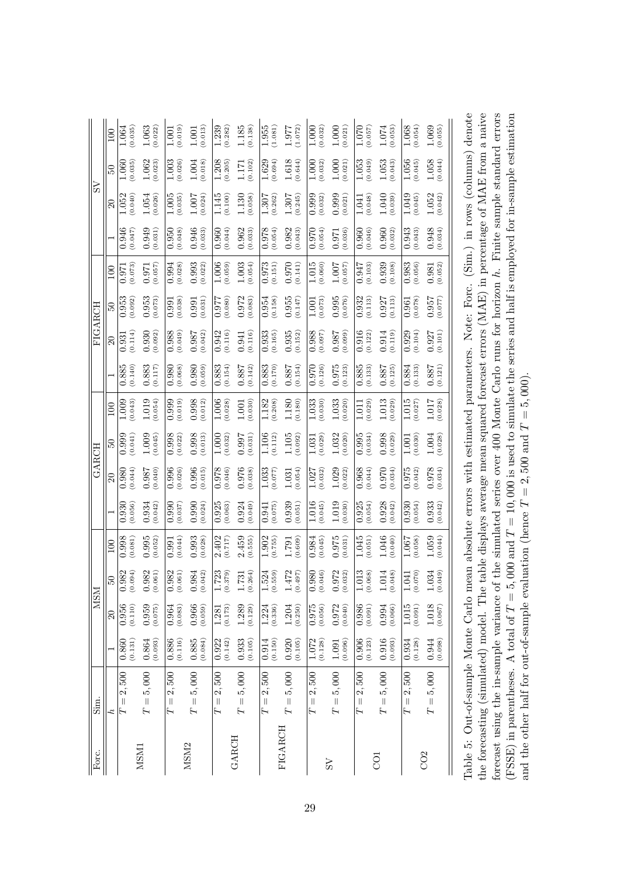| <b>NSM</b><br>Sim. | 20                  | ं ९<br>(0.110)<br>0.956<br>(0.131)<br>0.860<br>2,500<br>$\lvert \rvert$ | $\circ$ $\circ$<br>0.959<br>(0.075)<br>(0.093)<br>0.864<br>5,000<br>$T =$ | o é<br>$0.964$<br>$(0.083)$<br>(0.116)<br>0.886<br>2,500 | ं ९<br>0.966<br>(0.059)<br>0.885<br>(0.084)<br>5,000<br>$\vert\vert$ | $\circ$<br>(0.173)<br>1.281<br>(0.142)<br>0.922<br>2,500<br>$T =$ | −ਂ ੲ<br>$1.289$<br>(0.129)<br>$0.933$<br>$(0.105)$<br>5,000<br>$\vert\vert$ | $\circ$<br>$1.224$<br>(0.336)<br>(0.150)<br>0.914<br>2,500<br>$\left\vert {}\right\vert$ | $\circ$<br>$1.204$<br>$(0.250)$<br>(0.105)<br>0.920<br>$T=5,000\,$ | S<br>$\circ$<br>0.975<br>(0.056)<br>(0.128)<br>1.072<br>2,500<br>$\left\vert {}\right\vert$ | ರ ೮<br>0.972<br>(0.040)<br>(0.096)<br>1.091<br>$T=5,000\,$ | ⊣ e<br>(0.091)<br>0.986<br>$0.906$<br>$(0.123)$<br>2,500<br>$\vert\vert$ | $\frac{1}{2}$<br>$0.994$<br>(0.066)<br>$0.916$<br>$(0.093)$<br>$T=5,000$ | $\div$ 0<br>(0.091)<br>$1.015$<br>(0.128)<br>0.934<br>$= 2,500$ | $\div$ 6<br>1.018<br>(0.067)<br>0.944<br>(0.098)<br>$T=5,000$ |
|--------------------|---------------------|-------------------------------------------------------------------------|---------------------------------------------------------------------------|----------------------------------------------------------|----------------------------------------------------------------------|-------------------------------------------------------------------|-----------------------------------------------------------------------------|------------------------------------------------------------------------------------------|--------------------------------------------------------------------|---------------------------------------------------------------------------------------------|------------------------------------------------------------|--------------------------------------------------------------------------|--------------------------------------------------------------------------|-----------------------------------------------------------------|---------------------------------------------------------------|
|                    | 100<br>$50^{\circ}$ | 0.998<br>(0.081)<br>982<br>(1004)                                       | 0.995<br>(0.052)<br>982<br>(1001)                                         | (0.044)<br>0.991<br>982<br>(1001)                        | 0.993<br>(0.028)<br>984<br>042)                                      | 2.402<br>(0.717)<br>723<br>379)                                   | 2.459<br>(0.555)<br>264)<br>731                                             | 1.902<br>(0.755)<br>524<br>559)                                                          | (0.609)<br>1.791<br>472<br>497)                                    | 0.984<br>(0.045)<br>980<br>046)                                                             | 0.975<br>(0.031)<br>972<br>032)                            | 1.045<br>(0.051)<br>013<br>068)                                          | 1.046<br>(0.040)<br>014<br>048)                                          | 1.007<br>(0.058)<br>070)<br>$\overline{5}$                      | 1.059<br>(0.044)<br>034<br>(640)                              |
|                    |                     | (0.056)<br>0.930                                                        | 0.934<br>(0.042)                                                          | 0.990<br>(0.037)                                         | (0.024)<br>0.990                                                     | (0.063)<br>0.925                                                  | 0.924<br>(0.049)                                                            | (0.075)<br>0.941                                                                         | 0.939<br>(0.051)                                                   | 1.016<br>(0.045)                                                                            | 1.019<br>(0.030)                                           | (0.054)<br>0.925                                                         | 0.928<br>(0.042)                                                         | 0.930<br>(0.054)                                                | 0.933<br>(0.042)                                              |
| GARCH              | $\Omega$            | (0.044)<br>0.980                                                        | (0.040)<br>0.987                                                          | 0.996<br>(0.026)                                         | 0.996<br>(0.015)                                                     | 0.978<br>(0.046)                                                  | 0.976<br>(0.038)                                                            | 1.033<br>(0.077)                                                                         | (0.054)<br>1.031                                                   | 1.027<br>(0.032)                                                                            | 1.029<br>(0.022)                                           | 0.968<br>(0.044)                                                         | 0.970<br>(0.034)                                                         | 0.975<br>(0.042)                                                | 0.978<br>(0.034)                                              |
|                    | $\overline{50}$     | 0.041)<br>0.999                                                         | 1.009<br>(0.045)                                                          | 0.998<br>0.022)                                          | 0.998<br>(0.013)                                                     | 1.000<br>(0.032)                                                  | 0.997<br>(0.031)                                                            | 1.106<br>(0.112)                                                                         | 1.105<br>0.092)                                                    | 0.029)<br>1.031                                                                             | 1.032<br>(0.020)                                           | 0.995<br>(0.034)                                                         | 0.998<br>(0.029)                                                         | 0.030)<br>1.001                                                 | 1.004<br>0.028)                                               |
|                    | 100                 | 1.009<br>(0.043)                                                        | 1.019<br>(0.054)                                                          | 0.999<br>(0.019)                                         | 0.998<br>(0.012)                                                     | 1.006<br>(0.028)                                                  | (0.030)<br>1.001                                                            | 1.182<br>(0.208)                                                                         | 1.180<br>(0.180)                                                   | 1.033<br>(0.030)                                                                            | 1.033<br>(0.020)                                           | (0.029)<br>$1.0\overline{11}$                                            | 1.013<br>(0.029)                                                         | 1.015<br>0.027                                                  | 1.017<br>(0.028)                                              |
|                    |                     | 0.140)<br>0.885                                                         | 0.883<br>(0.117)                                                          | 0.980<br>(0.068)                                         | 0.980<br>(0.059)                                                     | (0.154)<br>0.883                                                  | (0.142)<br>0.887                                                            | (0.170)<br>0.883                                                                         | (0.154)<br>0.887                                                   | (0.126)<br>0.970                                                                            | 0.975<br>(0.123)                                           | (0.133)<br>0.885                                                         | 0.887<br>(0.125)                                                         | 0.884<br>(0.133)                                                | (0.121)<br>0.887                                              |
| FIGARCH            | $\mathcal{S}$       | (0.114)<br>0.931                                                        | 0.930<br>(0.092)                                                          | 0.988<br>$(6*0.0)$                                       | 0.987<br>0.042)                                                      | 0.942<br>(0.116)                                                  | (0.116)<br>0.941                                                            | 0.933<br>(0.165)                                                                         | 0.935<br>(0.152)                                                   | 0.988<br>(0.097)                                                                            | 0.987<br>(0.099)                                           | 0.916<br>(0.122)                                                         | 0.914<br>(0.119)                                                         | 0.929<br>(0.104)                                                | 0.927<br>(0.101)                                              |
|                    | $\frac{6}{2}$       | 0.953<br>(0.092)                                                        | 0.953<br>(0.073)                                                          | (0.038)<br>0.991                                         | (0.031)<br>0.991                                                     | (0.080)<br>0.977                                                  | 0.972<br>(0.083)                                                            | (0.158)<br>0.954                                                                         | 0.955<br>(0.147)                                                   | (0.073)<br>1.001                                                                            | 0.995<br>(0.076)                                           | 0.932<br>(0.113)                                                         | 0.927<br>(0.113)                                                         | (0.078)<br>0.961                                                | 0.957<br>(0.077)                                              |
|                    | 100                 | (0.073)<br>0.971                                                        | (0.057)<br>0.971                                                          | 0.994<br>(0.028)                                         | 0.993<br>(0.022)                                                     | 1.006<br>(0.059)                                                  | 1.003<br>(0.054)                                                            | 0.973<br>(0.151)                                                                         | 0.970<br>(0.141)                                                   | 1.015<br>0.060)                                                                             | 1.007<br>(0.057)                                           | (0.103)<br>0.947                                                         | 0.939<br>(0.108)                                                         | 0.983<br>(0.056)                                                | (0.052)<br>0.981                                              |
|                    |                     | 0.946<br>(0.047)                                                        | 0.949<br>(0.031)                                                          | 0.950<br>(0.048)                                         | 0.946<br>(6.033)                                                     | (0.044)<br>0.960                                                  | 0.962<br>(0.033)                                                            | (0.054)<br>0.978                                                                         | 0.982<br>(0.043)                                                   | (0.054)<br>0.970                                                                            | (0.036)<br>0.971                                           | 0.960<br>(0.046)                                                         | 0.960<br>(0.032)                                                         | 0.943<br>(0.043)                                                | 0.948<br>(0.034)                                              |
| SS                 | $\mathbb{S}$        | 1.052<br>0.040                                                          | 0.026<br>1.054                                                            | 1.005<br>(0.035)                                         | 1.007<br>(0.024)                                                     | 1.145<br>(0.100)                                                  | 1.130<br>(0.058)                                                            | 1.307<br>(0.262)                                                                         | 1.307<br>0.245                                                     | 0.999<br>(0.032)                                                                            | 0.999<br>(0.021)                                           | (0.048)<br>1.041                                                         | 1.040<br>(0.039)                                                         | 1.049<br>(0.045)                                                | 1.052<br>(0.042)                                              |
|                    | $\overline{50}$     | (0.035)<br>0.060                                                        | 1.062<br>(0.023)                                                          | 1.003<br>(0.026)                                         | 1.004<br>(0.018)                                                     | 1.208<br>(0.205)                                                  | (0.102)<br>1.171                                                            | 1.629<br>(0.694)                                                                         | $1.618$<br>(0.644)                                                 | (0.032)<br>1.000                                                                            | 1.000<br>(0.021)                                           | 1.053<br>(0.049)                                                         | $1.053\,$<br>(0.043)                                                     | 1.056<br>(0.045)                                                | 1.058<br>(0.044)                                              |
|                    | 100                 | 1.064<br>(0.035)                                                        | 1.063<br>(0.022)                                                          | (0.019)<br>1.001                                         | (0.013)<br>1.001                                                     | 1.239<br>(0.282)                                                  | 1.185<br>(0.138)                                                            | 1.955<br>(1.081)                                                                         | 1.977<br>(1.072)                                                   | (0.032)<br>1.000                                                                            | 1.000<br>(0.021)                                           | 1.070<br>(0.057)                                                         | (0.053)<br>$1.074\,$                                                     | 1.068<br>(0.054)                                                | 1.069<br>(0.055)                                              |

| Table 5: Out-of-sample Monte Carlo mean absolute errors with estimated parameters. Note: Forc. (Sim.) in rows (columns) denote | the forecasting (simulated) model. The table displays average mean squared forecast errors (MAE) in percentage of MAE from a naive | orecast using the in-sample variance of the simulated series over 400 Monte Carlo runs for horizon $h$ . Finite sample standard errors | FSSE) in parentheses. A total of $T = 5$ , 000 and $T = 10$ , 000 is used to simulate the series and half is employed for in-sample estimation | and the other half for out-of-sample evaluation (hence $T = 2,500$ and $T = 5,000$ ). |
|--------------------------------------------------------------------------------------------------------------------------------|------------------------------------------------------------------------------------------------------------------------------------|----------------------------------------------------------------------------------------------------------------------------------------|------------------------------------------------------------------------------------------------------------------------------------------------|---------------------------------------------------------------------------------------|
|                                                                                                                                |                                                                                                                                    |                                                                                                                                        |                                                                                                                                                |                                                                                       |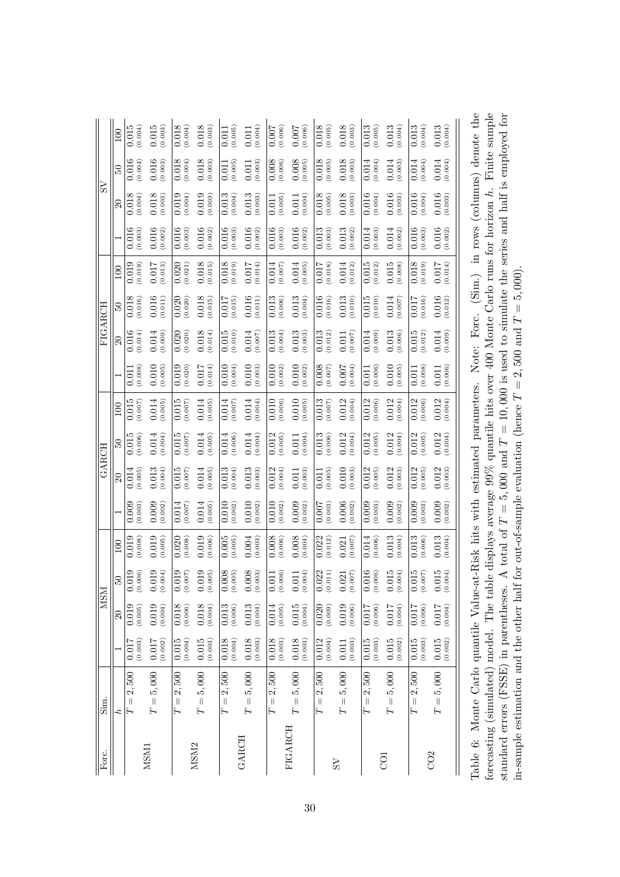|                        | 100           | 0.015<br>(0.004)           | 0.015<br>(0.003)                       | 0.018<br>(0.004)                        | (0.018)              | (0.005)<br>0.011             | (0.011)              | 0.007<br>(0.006)                            | 0.007<br>(0.006)                        | 0.018<br>(0.005)                | $0.018$<br>$(0.003)$       | 0.013<br>(0.005)                   | (0.013)                                       | (0.013)                            | (0.013)                                       | $\left( \begin{array}{c} 1 & 1 \\ 0 & 1 \end{array} \right)$ |
|------------------------|---------------|----------------------------|----------------------------------------|-----------------------------------------|----------------------|------------------------------|----------------------|---------------------------------------------|-----------------------------------------|---------------------------------|----------------------------|------------------------------------|-----------------------------------------------|------------------------------------|-----------------------------------------------|--------------------------------------------------------------|
|                        | SO.           | 0.016<br>(0.004)           | 0.016<br>(0.003)                       | 0.018<br>(0.004)                        | 0.018<br>(0.003)     | (0.005)<br>0.011             | (0.011)              | (0.008)                                     | (0.008)                                 | 0.018<br>(0.005)                | (0.018)                    | (0.004)<br>0.014                   | (0.014)                                       | (0.014)                            | 0.014<br>(0.004)                              |                                                              |
| $\overline{\text{ss}}$ | $\mathbb{S}$  | 0.018<br>(0.004)           | 0.018<br>(0.003)                       | 0.019<br>(0.004)                        | 0.019<br>(0.003)     | 0.013<br>(0.004)             | $0.013$<br>$(0.003)$ | (0.005)<br>0.011                            | (0.004)<br>0.011                        | 0.018<br>(0.005)                | (0.018)                    | 0.016<br>(0.004)                   | 0.016<br>(0.003)                              | 0.016<br>(0.004)                   | $0.016$<br>$(0.003)$                          |                                                              |
|                        |               | 0.016<br>(0.003)           | 0.016<br>(0.002)                       | 0.016<br>(0.003)                        | 0.016<br>(0.002)     | 0.016<br>(0.003)             | 0.016<br>(0.002)     | 0.016<br>(0.003)                            | 0.016<br>(0.002)                        | 0.013<br>(0.003)                | 0.013<br>(0.002)           | 0.014<br>(0.003)                   | 0.014<br>(0.002)                              | 0.016<br>(0.003)                   | $0.016$<br>(0.002)                            |                                                              |
|                        | 100           | 0.019<br>(0.019)           | 0.017<br>(0.013)                       | (0.021)<br>0.020                        | (0.018)              | 0.018<br>(0.019)             | (0.014)<br>0.017     | 0.014<br>(0.007)                            | 0.014<br>(0.005)                        | 0.017<br>(0.018)                | $0.014$<br>(0.012)         | 0.015<br>(0.012)                   | 0.015<br>(0.008)                              | (0.018)                            | 0.017<br>(0.014)                              | $\sum_{i=1}^{n}$                                             |
| FIGARCH                | 50            | 0.018<br>(0.016)           | 0.016<br>(0.011)                       | 0.020<br>(0.020)                        | 0.018<br>(0.015)     | (0.015)<br>0.017             | $0.016$<br>$(0.011)$ | 0.013<br>(0.006)                            | 0.013<br>(0.004)                        | 0.016<br>(0.016)                | 0.013<br>(0.010)           | 0.015<br>(0.010)                   | $0.014\,$<br>(0.007)                          | 0.017<br>(0.016)                   | $0.016$<br>$(0.012)$                          |                                                              |
|                        | $\Omega$      | 0.016<br>(0.014)           | 0.014<br>(0.009)                       | (0.020)<br>0.020                        | 0.018<br>(0.014)     | 0.015<br>(0.010)             | (0.014)              | 0.013<br>(0.004)                            | 0.013<br>(0.003)                        | 0.013<br>(0.012)                | (0.007)<br>0.011           | 0.014<br>(0.009)                   | 0.013<br>(0.006)                              | 0.015<br>(0.012)                   | 0.014<br>(0.009)                              | $\Gamma_{\alpha}$ ra                                         |
|                        |               | (0.008)<br>0.011           | 0.010<br>(0.005)                       | (0.020)<br>0.019                        | (0.014)<br>0.017     | (0.004)<br>0.010             | 0.010<br>(0.003)     | (0.002)<br>0.010                            | 0.010<br>(0.002)                        | 0.008<br>(0.007)                | 0.007<br>(0.004)           | (0.006)<br>0.011                   | 0.010<br>(0.005)                              | (0.008)<br>0.011                   | (0.006)<br>0.011                              | $N_{\Delta t \Delta t}$                                      |
|                        | 100           | 0.015<br>(0.007)           | 0.014<br>0.005)                        | 0.015<br>(0.007)                        | 0.014<br>0.005)      | 0.014<br>(0.007)             | (0.004)<br>0.014     | 0.010<br>(0.006)                            | 0.010<br>(0.005)                        | 0.013<br>(0.007)                | 0.012<br>(0.004)           | 0.012<br>(0.006)                   | 0.012<br>(0.004)                              | 0.012<br>(0.006)                   | 0.012<br>(0.004)                              | moronormo                                                    |
| GARCH                  | S.            | 0.015<br>(0.006)           | (0.004)<br>0.014                       | 0.015<br>(0.007)                        | 0.014<br>(0.005)     | 0.014<br>(0.006)             | (0.014)              | (0.012)                                     | 0.011<br>(0.004)                        | 0.013<br>(0.006)                | $0.012$<br>(0.004)         | 0.012<br>(0.005)                   | 0.012<br>(0.004)                              | (0.012)                            | 0.012<br>(0.004)                              |                                                              |
|                        | $\Omega$      | 0.014<br>(0.005)           | 0.013<br>(0.004)                       | 0.015<br>(0.007)                        | 0.014<br>(0.005)     | 0.013<br>(0.004)             | 0.013<br>(0.003)     | 0.012<br>(0.004)                            | 0.011<br>(0.003)                        | (0.005)<br>$0.01\overline{1}$   | 0.010<br>(0.003)           | 0.012<br>(0.005)                   | 0.012<br>(0.003)                              | 0.012<br>(0.005)                   | 0.012<br>(0.003)                              | $\sim$                                                       |
|                        |               | 0.009<br>(0.003)           | 0.009<br>(0.002)                       | 0.014<br>(0.007)                        | 0.014<br>(0.005)     | 0.010<br>(0.002)             | 0.010<br>(0.002)     | 0.010<br>(0.002)                            | 0.009<br>(0.002)                        | (0.003)<br>0.007                | $0.006$<br>(0.002)         | 0.009<br>(0.003)                   | 0.009<br>(0.002)                              | (0.009)                            | 0.009<br>(0.002)                              | r                                                            |
|                        | 100           | (0.019)                    | 0.019<br>(0.005)                       | 0.020<br>(0.008)                        | $0.019$<br>$(0.006)$ | 0.005<br>(0.005)             | 0.004<br>(0.003)     | 0.008<br>(0.006)                            | 0.008<br>(0.004)                        | 0.022<br>(0.012)                | (0.007)<br>0.021           | 0.014<br>(0.006)                   | 0.013<br>(0.004)                              | 0.013<br>(0.006)                   | 0.013<br>(0.004)                              | $A + D$ idz bita                                             |
| <b>NSM</b>             | $\frac{6}{3}$ | 019<br>(006)<br>ं ९        | 019<br>(1004)<br>$\circ$               | 019<br>(2007)<br>ರ ೮                    | 019<br>(005)<br>ं ९  | 008<br>(005)<br>$\circ$<br>ಿ | 008<br>(6003)<br>ं ९ | $.006)$<br>$\overline{011}$<br>Õ<br>$\circ$ | (1004)<br>011<br>ं ९                    | $\overline{022}$<br>011)<br>ರ ೮ | $021$<br>$007)$<br>$\circ$ | 016<br>(006)<br>$\circ$<br>$\circ$ | 015<br>(1004)<br>ರ ೮                          | $015$<br>$007)$<br>$\circ$ $\circ$ | 015<br>(1004)<br>ರ ೭                          |                                                              |
|                        | 20            | (0.005)<br>0.019           | 0.019<br>(0.004)                       | (0.018)                                 | (0.018)              | (0.006)<br>0.013             | (0.013)              | (0.005)                                     | 0.015<br>(0.004)                        | (0.009)<br>0.020                | $0.019$<br>(0.006)         | (0.006)                            | (10.004)                                      | (0.006)                            | (10.004)                                      |                                                              |
|                        |               | (0.003)<br>0.017           | (0.002)<br>0.017                       | (0.015)                                 | (0.015)              | 0.018<br>(0.004)             | (0.018)              | 0.018<br>(0.003)                            | 0.018<br>(0.003)                        | (0.012)                         | (0.003)<br>$0.011\,$       | 0.015<br>(0.003)                   | $\begin{array}{c} 0.015 \\ 0.002 \end{array}$ | (0.015)                            | $\begin{array}{c} 0.015 \\ 0.002 \end{array}$ |                                                              |
| $\sin$                 | $\dot{z}$     | 2,500<br>$\parallel$<br>Ē, | 5,000<br>$\parallel$<br>$\overline{L}$ | 2,500<br>$\vert\vert$<br>$\overline{L}$ | $T=5,000\,$          | 2,500<br>$\lVert$<br>Η       | $T=5,000\,$          | $= 2,500$<br>H                              | 5,000<br>$\vert\vert$<br>$\overline{L}$ | $T=2,500\,$                     | $T=5,000\,$                | 2,500<br>$\vert\vert$<br>Η         | $T=5,000\,$                                   | 2,500<br>$\parallel$<br>Γ          | $T=5,000\,$                                   |                                                              |
| Forc.                  |               |                            | MSM1                                   |                                         | MSM <sub>2</sub>     |                              | <b>GARCH</b>         |                                             | FIGARCH                                 |                                 | $\lambda_{\rm S}$          |                                    | $\overline{C}$                                |                                    | CO <sub>2</sub>                               | Table 6: Monto Carlo annutile Value                          |

| Table 6: Monte Carlo quantile Value-at-Risk hits with estimated parameters. Note: Forc. (Sim.) in rows (columns) denote the | orecasting (simulated) model. The table displays average $99\%$ quantile hits over 400 Monte Carlo runs for horizon h. Finite sample | A total of $T = 5,000$ and $T = 10,000$ is used to simulate the series and half is employed for |                                                                   |
|-----------------------------------------------------------------------------------------------------------------------------|--------------------------------------------------------------------------------------------------------------------------------------|-------------------------------------------------------------------------------------------------|-------------------------------------------------------------------|
|                                                                                                                             |                                                                                                                                      |                                                                                                 |                                                                   |
|                                                                                                                             |                                                                                                                                      |                                                                                                 |                                                                   |
|                                                                                                                             |                                                                                                                                      |                                                                                                 |                                                                   |
|                                                                                                                             |                                                                                                                                      |                                                                                                 |                                                                   |
|                                                                                                                             |                                                                                                                                      |                                                                                                 |                                                                   |
|                                                                                                                             |                                                                                                                                      |                                                                                                 |                                                                   |
|                                                                                                                             |                                                                                                                                      |                                                                                                 |                                                                   |
|                                                                                                                             |                                                                                                                                      |                                                                                                 |                                                                   |
|                                                                                                                             |                                                                                                                                      |                                                                                                 | or out-of-sample evaluation (hence $T = 2,500$ and $T = 5,000$ ). |
|                                                                                                                             |                                                                                                                                      |                                                                                                 |                                                                   |
|                                                                                                                             |                                                                                                                                      |                                                                                                 |                                                                   |
|                                                                                                                             |                                                                                                                                      |                                                                                                 |                                                                   |
|                                                                                                                             |                                                                                                                                      |                                                                                                 |                                                                   |
|                                                                                                                             |                                                                                                                                      |                                                                                                 |                                                                   |
|                                                                                                                             |                                                                                                                                      |                                                                                                 |                                                                   |
|                                                                                                                             |                                                                                                                                      |                                                                                                 |                                                                   |
|                                                                                                                             |                                                                                                                                      |                                                                                                 |                                                                   |
|                                                                                                                             |                                                                                                                                      |                                                                                                 |                                                                   |
|                                                                                                                             |                                                                                                                                      |                                                                                                 |                                                                   |
|                                                                                                                             |                                                                                                                                      | standard errors (FSSE) in parentheses.                                                          | n-sample estimation and the other half for                        |
|                                                                                                                             |                                                                                                                                      |                                                                                                 |                                                                   |
|                                                                                                                             |                                                                                                                                      |                                                                                                 |                                                                   |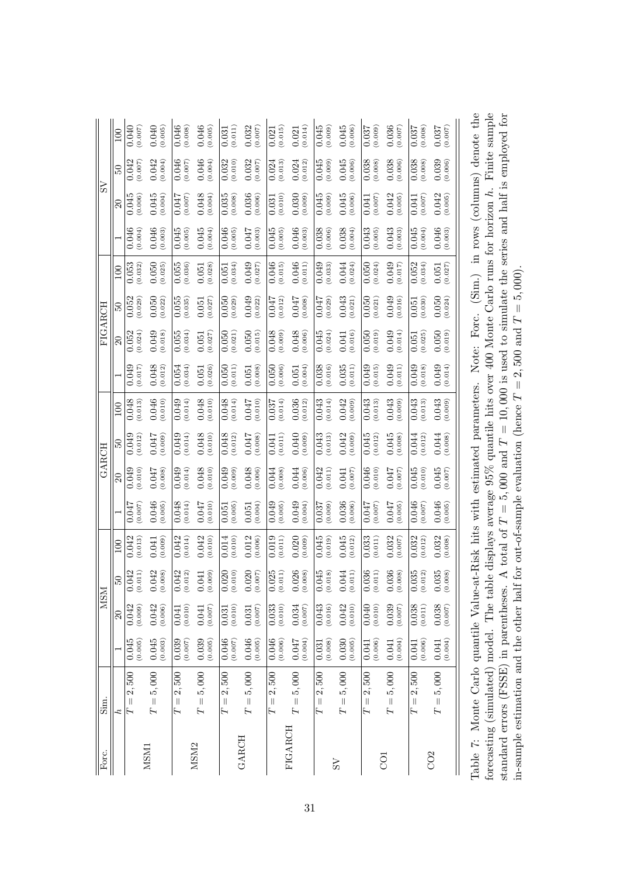|                        | 100       | 0.040<br>(0.007)           | 0.040<br>(0.005)                        | 0.046<br>(0.008)           | 0.046<br>(0.005)           | (0.011)<br>0.031              | $0.032$<br>(0.007)                            | (0.015)<br>0.021         | (0.014)<br>0.021                        | 0.045<br>(0.009)    | $0.045$<br>(0.006)   | 0.037<br>(0.009)                  | 0.036<br>(700.0)        | 0.037<br>(0.008)               | 0.037<br>(700.0)                         | $\sim$ there is the more inter-                       |
|------------------------|-----------|----------------------------|-----------------------------------------|----------------------------|----------------------------|-------------------------------|-----------------------------------------------|--------------------------|-----------------------------------------|---------------------|----------------------|-----------------------------------|-------------------------|--------------------------------|------------------------------------------|-------------------------------------------------------|
|                        | SO.       | 0.042<br>(0.007)           | 0.042<br>(0.004)                        | 0.046<br>(0.007)           | 0.046<br>(0.004)           | (0.010)<br>0.032              | $0.032$<br>$(0.007)$                          | (0.013)<br>0.024         | 0.024<br>(0.012)                        | 0.045<br>(0.009)    | 0.045<br>(0.006)     | 0.038<br>(0.008)                  | (0.038)                 | (0.038)                        | 0.039<br>(0.006)                         |                                                       |
| $\overline{\text{ss}}$ | $\approx$ | 0.045<br>(0.006)           | 0.045<br>(0.004)                        | (0.007)<br>0.047           | 0.048<br>(0.004)           | 0.035<br>(0.008)              | 0.036<br>(0.006)                              | (0.010)<br>0.031         | 0.030<br>(0.009)                        | 0.045<br>(0.009)    | 0.045<br>(0.006)     | (0.007)<br>0.041                  | 0.042<br>(0.005)        | (700.0)<br>0.041               | 0.042<br>(0.005)                         |                                                       |
|                        |           | 0.046<br>(0.004)           | 0.046<br>(0.003)                        | 0.045<br>(0.005)           | 0.045<br>(0.004)           | 0.046<br>(0.005)              | 0.047<br>(0.003)                              | 0.045<br>(0.005)         | 0.046<br>(0.003)                        | 0.038<br>(0.006)    | 0.038<br>(0.004)     | 0.043<br>(0.005)                  | 0.043<br>(0.003)        | 0.045<br>(0.004)               | $0.046$<br>(0.003)                       |                                                       |
|                        | 100       | 0.053<br>(0.032)           | 0.050<br>(0.025)                        | 0.055<br>(0.036)           | (0.028)<br>0.051           | (0.034)<br>0.051              | 0.049<br>(0.027)                              | 0.046<br>(0.015)         | 0.046<br>(0.011)                        | 0.049<br>(0.033)    | 0.044<br>(0.024)     | 0.050<br>(0.024)                  | 0.049<br>(0.017)        | 0.052<br>(0.034)               | 0.051<br>(0.027)                         | $\sum_{i=1}^{n}$                                      |
| FIGARCH                | $50\,$    | 0.052<br>(0.029)           | 0.050<br>(0.022)                        | 0.055<br>(0.035)           | (0.027)<br>0.051           | (0.029)<br>0.050              | $0.049$<br>$(0.022)$                          | 0.047<br>(0.012)         | 0.047<br>(0.008)                        | 0.047<br>(0.029)    | 0.043<br>(0.021)     | 0.050<br>(0.021)                  | 0.049<br>(0.016)        | (0.030)<br>0.051               | 0.050<br>(0.024)                         |                                                       |
|                        | $\Omega$  | 0.052<br>(0.024)           | 0.049<br>(0.018)                        | 0.055<br>(0.034)           | (0.027)<br>0.051           | (0.021)<br>0.050              | (0.050)                                       | 0.048<br>(0.009)         | 0.048<br>(0.006)                        | 0.045<br>(0.024)    | (0.016)<br>0.041     | 0.050<br>(0.019)                  | 0.049<br>(0.014)        | (0.025)<br>0.051               | (0.050)                                  | منتص<br>⊡                                             |
|                        |           | 0.049<br>(0.017)           | 0.048<br>(0.012)                        | (0.034)<br>0.054           | (0.026)<br>0.051           | (0.011)<br>0.050              | (0.008)<br>0.051                              | 0.050<br>(0.006)         | (0.004)<br>0.051                        | 0.038<br>(0.016)    | $0.035$<br>$(0.011)$ | 0.049<br>(0.015)                  | 0.049<br>(0.011)        | 0.049<br>(0.018)               | 0.049<br>(0.014)                         | $N \sim t \sim$                                       |
|                        | 100       | 0.048<br>(0.013)           | 0.046<br>(0.010)                        | 0.049<br>(0.014)           | 0.048<br>0.010)            | 0.048<br>(0.014)              | 740.0<br>(0.010)                              | (0.014)<br>0.037         | 0.036<br>(0.012)                        | 0.043<br>(0.014)    | 0.042<br>(600.0)     | 0.043<br>(0.013)                  | 0.043<br>(0.009)        | 0.043<br>(0.013)               | 0.043<br>(0.009)                         | no romoro                                             |
| GARCH                  | B         | 0.049<br>(0.012)           | 0.047<br>(6000)                         | (0.014)<br>0.049           | 0.048<br>(0.010)           | 0.048<br>(0.012)              | 0.047<br>(0.008)                              | (0.011)<br>0.041         | 0.040<br>(0.009)                        | 0.043<br>(0.013)    | 0.042<br>(0.009)     | 0.045<br>(0.012)                  | 0.045<br>(0.008)        | (0.012)<br>0.044               | 0.044<br>(0.008)                         |                                                       |
|                        | $\Omega$  | 0.049<br>(0.010)           | 0.047<br>(0.008)                        | 0.049<br>(0.014)           | 0.048<br>(0.010)           | 0.049<br>(0.009)              | 0.048<br>(0.006)                              | 0.044<br>(0.008)         | 0.044<br>(0.006)                        | 0.042<br>(0.011)    | (0.007)<br>0.041     | 0.046<br>(0.010)                  | <b>170.0</b><br>(0.007) | 0.045<br>(0.010)               | 0.045<br>(0.007)                         | $\sim$                                                |
|                        |           | 710.0<br>(700.007)         | 0.046<br>(0.005)                        | 0.048<br>(0.014)           | 0.047<br>(0.010)           | (0.005)<br>0.051              | (0.004)<br>0.051                              | 0.049<br>(0.005)         | 0.049<br>(0.004)                        | (0.009)<br>0.037    | $0.036$<br>$(0.006)$ | 710.0<br>(0.007)                  | 0.047<br>(0.005)        | $0.046$<br>(0.007)             | 0.046<br>(0.005)                         | r                                                     |
|                        | 100       | 0.042<br>(0.013)           | (0.009)<br>0.041                        | (0.014)<br>0.042           | 0.042<br>(0.010)           | 0.014<br>(0.010)              | 0.012<br>(0.006)                              | 0.019<br>(0.011)         | 0.020<br>(0.009)                        | 0.045<br>(0.019)    | $0.045$<br>(0.012)   | 0.033<br>(0.011)                  | 0.032<br>(0.007)        | 0.032<br>(0.012)               | 0.032<br>(0.008)                         | $\sim$ + $\rm{P:}\nolimits$ $\sim$ $\rm{L:}\nolimits$ |
|                        | 65        | 042<br>(11)<br>ರ ೮         | 042<br>(800)<br>ं ९                     | 042<br>012)<br>ರ ೮         | (600)<br><b>D41</b><br>9 e | 020<br>(010)<br>$\circ$<br>ಿ  | 020<br>007)<br>Õ<br>$\circ$                   | (025)<br>Õ<br>$\epsilon$ | 026<br>(008)<br>$\circ$<br>$\in$        | 045<br>(810)<br>ರ ೮ | 044<br>(11)<br>ರ ೮   | 036<br>(11)<br>$\circ$<br>$\circ$ | 036<br>(800)<br>ರ ೮     | 035<br>012)<br>$\circ$ $\circ$ | 035<br>$($ 008 $)$<br>$\circ$<br>$\circ$ |                                                       |
| <b>NSM</b>             | 20        | (0.009)<br>0.042           | 0.042<br>(0.006)                        | (0.010)                    | $0.041$<br>(0.007)         | (0.010)<br>$0.03\overline{1}$ | $\begin{array}{c} 0.031 \\ 0.007 \end{array}$ | (0.010)<br>0.033         | 0.034<br>(0.007)                        | $0.043$<br>(0.016)  | $0.042$<br>$(0.010)$ | (0.040)                           | $0.039$<br>(0.007)      | (0.038)                        | $0.038$<br>(0.007)                       |                                                       |
|                        |           | (0.005)<br>0.045           | 0.045<br>(0.003)                        | (0.039)                    | (0.039)                    | (0.007)<br>0.046              | $0.046$<br>(0.005)                            | (0.006)<br>0.046         | (0.004)<br>0.047                        | (0.031)             | $0.030$<br>$(0.005)$ | (0.006)<br>0.041                  | (0.041                  | (0.006)<br>0.041               | (0.004)<br>0.041                         |                                                       |
| $\sin$                 | $\dot{z}$ | 2,500<br>$\parallel$<br>Ē, | 5,000<br>$\vert\vert$<br>$\overline{L}$ | 2,500<br>$\vert\vert$<br>Ë | $T=5,000\,$                | 2,500<br>$\lvert \rvert$<br>Η | $T=5,000\,$                                   | $= 2,500$<br>H           | 5,000<br>$\vert\vert$<br>$\overline{L}$ | $T=2,500\,$         | $T=5,000\,$          | 2,500<br>$\vert\vert$<br>Η        | $T=5,000\,$             | 2,500<br>$\parallel$<br>Γ      | $T=5,000\,$                              | Manta Carla augustila Valua                           |
| Forc.                  |           |                            | MSM1                                    |                            | MSM <sub>2</sub>           |                               | <b>GARCH</b>                                  |                          | FIGARCH                                 |                     | $\lambda_{\rm S}$    |                                   | $\overline{C}$          |                                | CO <sub>2</sub>                          | Table 7.                                              |

| Table 7: Monte Carlo quantile Value-at-Risk hits with estimated parameters. Note: Forc. (Sim.) in rows (columns) denote the | orecasting (simulated) model. The table displays average $95\%$ quantile hits over 400 Monte Carlo runs for horizon h. Finite sample | A total of $T = 5,000$ and $T = 10,000$ is used to simulate the series and half is employed for<br>tandard errors (FSSE) in parentheses. | n-sample estimation and the other half for out-of-sample evaluation (hence $T = 2,500$ and $T = 5,000$ ). |
|-----------------------------------------------------------------------------------------------------------------------------|--------------------------------------------------------------------------------------------------------------------------------------|------------------------------------------------------------------------------------------------------------------------------------------|-----------------------------------------------------------------------------------------------------------|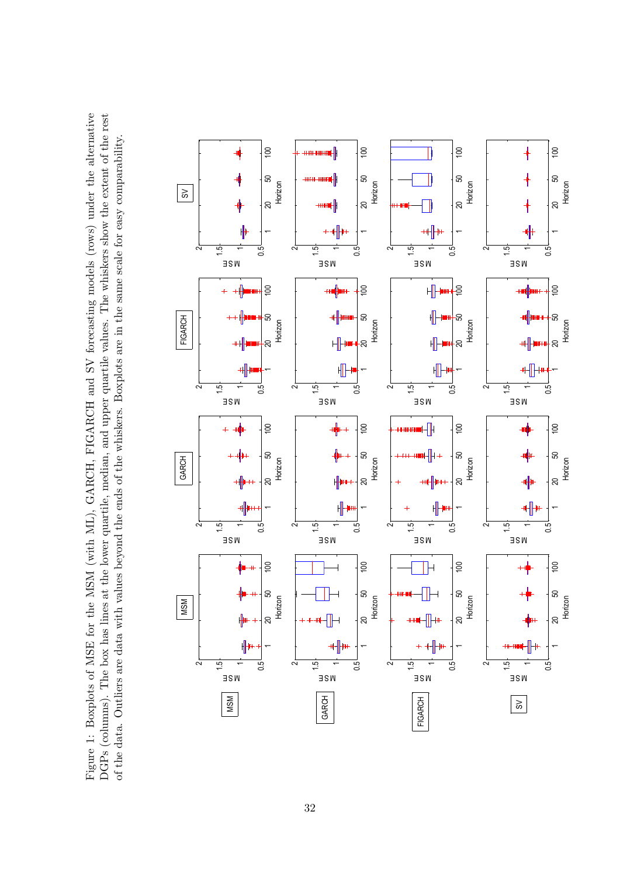Figure 1: Boxplots of MSE for the MSM (with ML), GARCH, FIGARCH and SV forecasting models (rows) under the alternative DGPs (columns). The box has lines at the lower quartile, median, and upper quartile values. The whiskers show the extent of the rest Figure 1: Boxplots of MSE for the MSM (with ML), GARCH, FIGARCH and SV forecasting models (rows) under the alternative DGPs (columns). The box has lines at the lower quartile, median, and upper quartile values. The whiskers show the extent of the rest of the data. Outliers are data with values beyond the ends of the whiskers. Boxplots are in the same scale for easy comparability. of the data. Outliers are data with values beyond the ends of the whiskers. Boxplots are in the same scale for easy comparability.

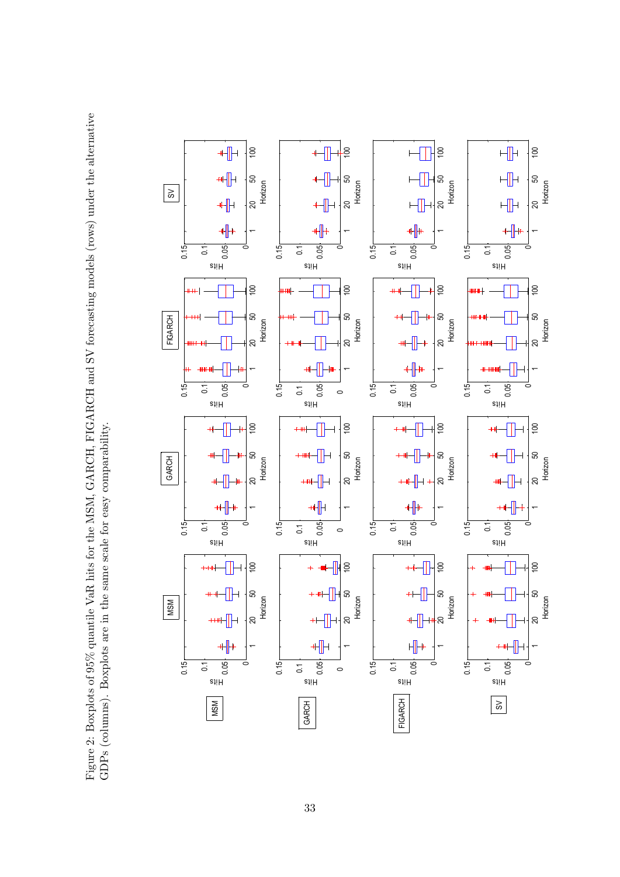Figure 2: Boxplots of 95% quantile VaR hits for the MSM, GARCH, FIGARCH and SV forecasting models (rows) under the alternative GDPs (columns). Boxplots are in the same scale for easy comparability. Figure 2: Boxplots of 95% quantile VaR hits for the MSM, GARCH, FIGARCH and SV forecasting models (rows) under the alternative GDPs (columns). Boxplots are in the same scale for easy comparability.

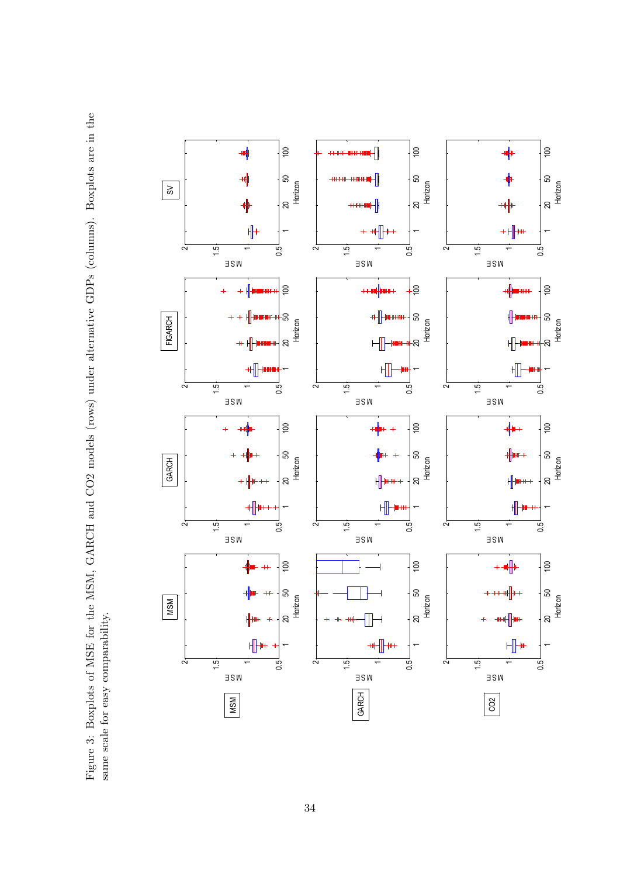Figure 3: Boxplots of MSE for the MSM, GARCH and CO2 models (rows) under alternative GDPs (columns). Boxplots are in the Figure 3: Boxplots of MSE for the MSM, GARCH and CO2 models (rows) under alternative GDPs (columns). Boxplots are in the same scale for easy comparability. same scale for easy comparability.